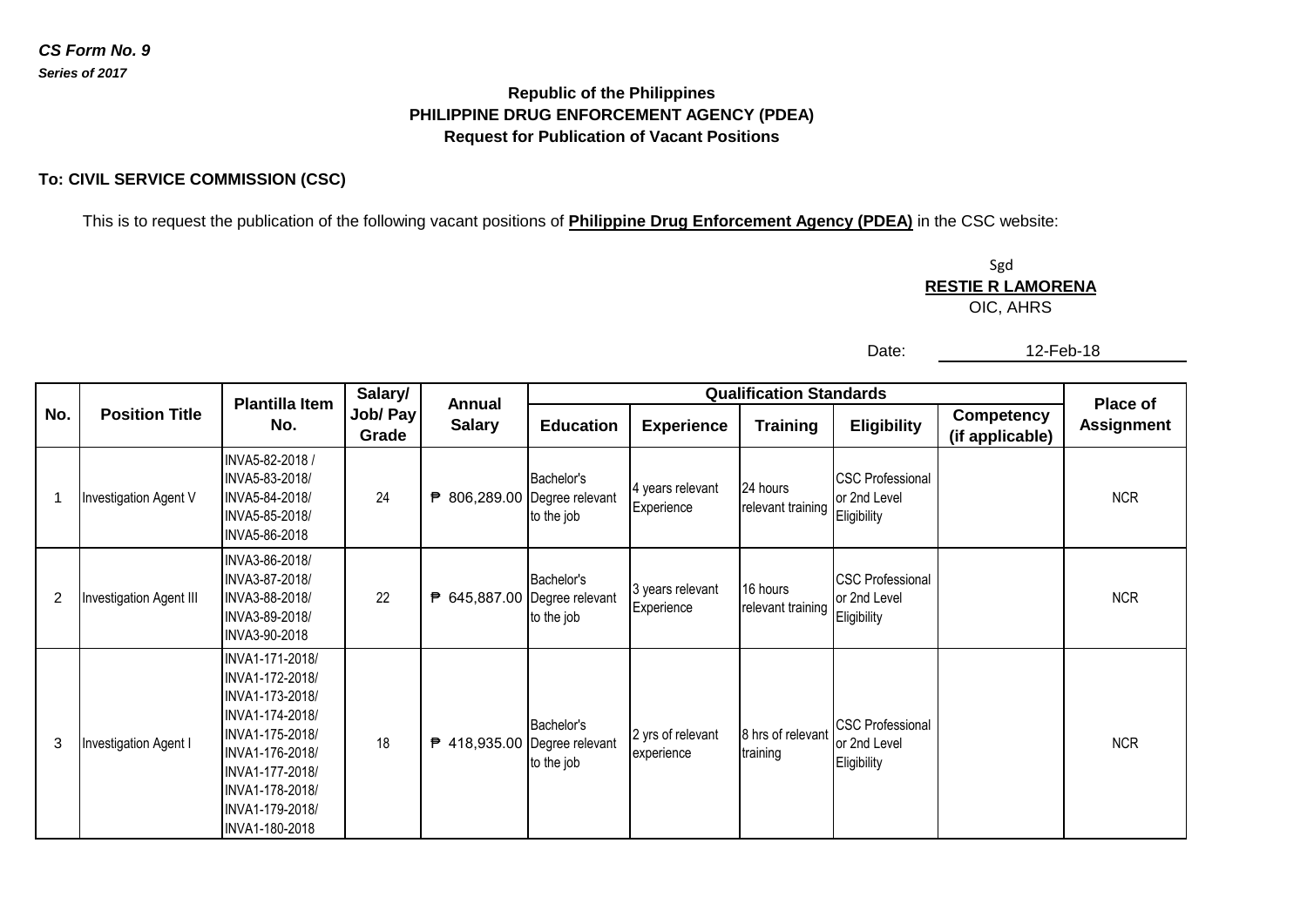## **PHILIPPINE DRUG ENFORCEMENT AGENCY (PDEA) Republic of the Philippines Request for Publication of Vacant Positions**

## **To: CIVIL SERVICE COMMISSION (CSC)**

This is to request the publication of the following vacant positions of **Philippine Drug Enforcement Agency (PDEA)** in the CSC website:

Sgd OIC, AHRS **RESTIE R LAMORENA**

Date:

| en-<br>Δ |  |
|----------|--|
|----------|--|

|                |                         | <b>Plantilla Item</b>                                                                                                                                                                     | Salary/           | <b>Annual</b>                |                          |                                 | <b>Place of</b>               |                                                        |                                      |                   |
|----------------|-------------------------|-------------------------------------------------------------------------------------------------------------------------------------------------------------------------------------------|-------------------|------------------------------|--------------------------|---------------------------------|-------------------------------|--------------------------------------------------------|--------------------------------------|-------------------|
| No.            | <b>Position Title</b>   | No.                                                                                                                                                                                       | Job/ Pay<br>Grade | <b>Salary</b>                | <b>Education</b>         | <b>Experience</b>               | <b>Training</b>               | <b>Eligibility</b>                                     | <b>Competency</b><br>(if applicable) | <b>Assignment</b> |
| $\mathbf 1$    | Investigation Agent V   | INVA5-82-2018 /<br>INVA5-83-2018/<br>INVA5-84-2018/<br>INVA5-85-2018/<br>INVA5-86-2018                                                                                                    | 24                | ₱ 806,289.00 Degree relevant | Bachelor's<br>to the job | 4 years relevant<br>Experience  | 24 hours<br>relevant training | <b>CSC Professional</b><br>or 2nd Level<br>Eligibility |                                      | <b>NCR</b>        |
| $\overline{2}$ | Investigation Agent III | INVA3-86-2018/<br>INVA3-87-2018/<br>INVA3-88-2018/<br>INVA3-89-2018/<br>INVA3-90-2018                                                                                                     | 22                | ₱ 645,887.00 Degree relevant | Bachelor's<br>to the job | 3 years relevant<br>Experience  | 16 hours<br>relevant training | <b>CSC Professional</b><br>or 2nd Level<br>Eligibility |                                      | <b>NCR</b>        |
| 3              | Investigation Agent I   | INVA1-171-2018/<br>INVA1-172-2018/<br>INVA1-173-2018/<br>INVA1-174-2018/<br>INVA1-175-2018/<br>INVA1-176-2018/<br>INVA1-177-2018/<br>INVA1-178-2018/<br>INVA1-179-2018/<br>INVA1-180-2018 | 18                | ₱ 418,935.00 Degree relevant | Bachelor's<br>to the job | 2 yrs of relevant<br>experience | 8 hrs of relevant<br>training | <b>CSC Professional</b><br>or 2nd Level<br>Eligibility |                                      | <b>NCR</b>        |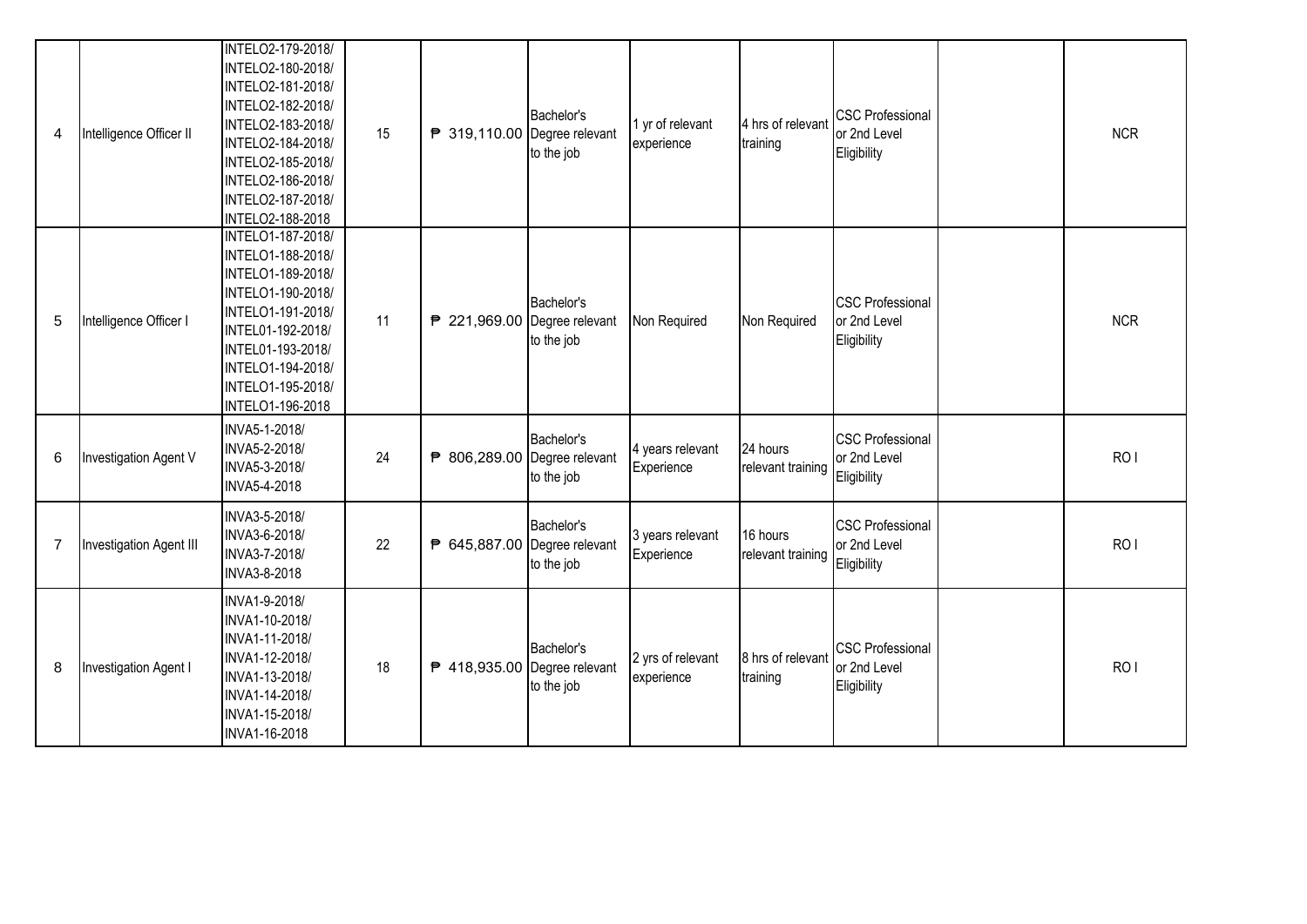| 4              | Intelligence Officer II | INTELO2-179-2018/<br>INTELO2-180-2018/<br>INTELO2-181-2018/<br>INTELO2-182-2018/<br>INTELO2-183-2018/<br>INTELO2-184-2018/<br>INTELO2-185-2018/<br>INTELO2-186-2018/<br>INTELO2-187-2018/<br>INTELO2-188-2018 | 15 | ₱ 319,110.00 Degree relevant | Bachelor's<br>to the job | 1 yr of relevant<br>experience  | 4 hrs of relevant<br>training | <b>CSC Professional</b><br>or 2nd Level<br>Eligibility | <b>NCR</b>      |
|----------------|-------------------------|---------------------------------------------------------------------------------------------------------------------------------------------------------------------------------------------------------------|----|------------------------------|--------------------------|---------------------------------|-------------------------------|--------------------------------------------------------|-----------------|
| 5              | Intelligence Officer I  | INTELO1-187-2018/<br>INTELO1-188-2018/<br>INTELO1-189-2018/<br>INTELO1-190-2018/<br>INTELO1-191-2018/<br>INTEL01-192-2018/<br>INTEL01-193-2018/<br>INTELO1-194-2018/<br>INTELO1-195-2018/<br>INTELO1-196-2018 | 11 | ₱ 221,969.00 Degree relevant | Bachelor's<br>to the job | Non Required                    | Non Required                  | <b>CSC Professional</b><br>or 2nd Level<br>Eligibility | <b>NCR</b>      |
| 6              | Investigation Agent V   | INVA5-1-2018/<br>INVA5-2-2018/<br>INVA5-3-2018/<br>INVA5-4-2018                                                                                                                                               | 24 | ₱ 806,289.00 Degree relevant | Bachelor's<br>to the job | 4 years relevant<br>Experience  | 24 hours<br>relevant training | <b>CSC Professional</b><br>or 2nd Level<br>Eligibility | RO <sub>1</sub> |
| $\overline{7}$ | Investigation Agent III | INVA3-5-2018/<br>INVA3-6-2018/<br>INVA3-7-2018/<br>INVA3-8-2018                                                                                                                                               | 22 | ₱ 645,887.00 Degree relevant | Bachelor's<br>to the job | 3 years relevant<br>Experience  | 16 hours<br>relevant training | <b>CSC Professional</b><br>or 2nd Level<br>Eligibility | RO <sub>1</sub> |
| 8              | Investigation Agent I   | INVA1-9-2018/<br>INVA1-10-2018/<br>INVA1-11-2018/<br>INVA1-12-2018/<br>INVA1-13-2018/<br>INVA1-14-2018/<br>INVA1-15-2018/<br>INVA1-16-2018                                                                    | 18 | ₱ 418,935.00 Degree relevant | Bachelor's<br>to the job | 2 yrs of relevant<br>experience | 8 hrs of relevant<br>training | <b>CSC Professional</b><br>or 2nd Level<br>Eligibility | RO <sub>I</sub> |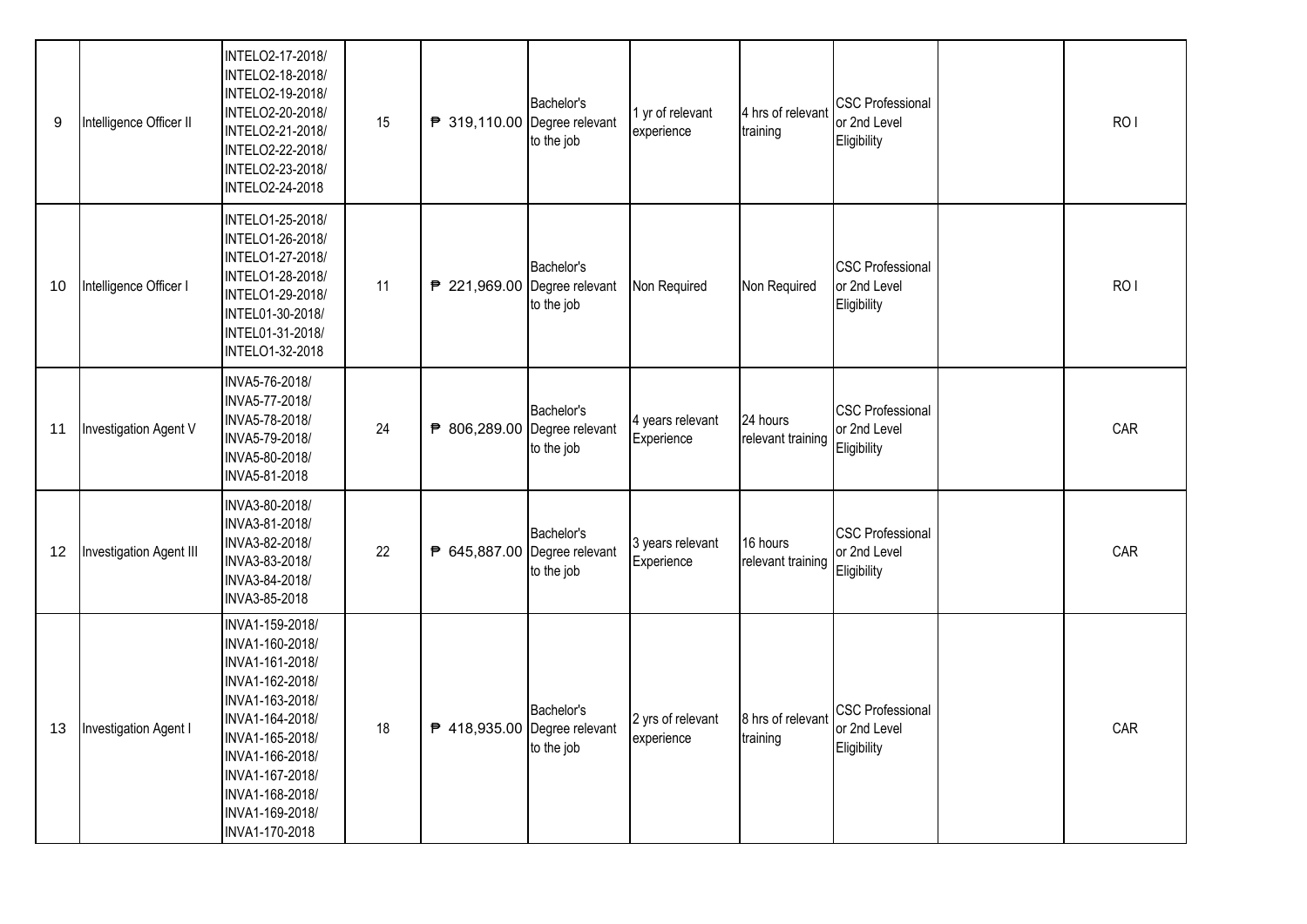| 9  | Intelligence Officer II | INTELO2-17-2018/<br>INTELO2-18-2018/<br>INTELO2-19-2018/<br>INTELO2-20-2018/<br>INTELO2-21-2018/<br>INTELO2-22-2018/<br>INTELO2-23-2018/<br><b>INTELO2-24-2018</b>                                                              | 15 | ₱ 319,110.00 Degree relevant | Bachelor's<br>to the job | 1 yr of relevant<br>experience  | 4 hrs of relevant<br>training | <b>CSC Professional</b><br>or 2nd Level<br>Eligibility | RO <sub>I</sub> |
|----|-------------------------|---------------------------------------------------------------------------------------------------------------------------------------------------------------------------------------------------------------------------------|----|------------------------------|--------------------------|---------------------------------|-------------------------------|--------------------------------------------------------|-----------------|
| 10 | Intelligence Officer I  | INTELO1-25-2018/<br>INTELO1-26-2018/<br>INTELO1-27-2018/<br>INTELO1-28-2018/<br>INTELO1-29-2018/<br>INTEL01-30-2018/<br>INTEL01-31-2018/<br>INTELO1-32-2018                                                                     | 11 | ₱ 221,969.00 Degree relevant | Bachelor's<br>to the job | Non Required                    | Non Required                  | <b>CSC Professional</b><br>or 2nd Level<br>Eligibility | RO <sub>I</sub> |
| 11 | Investigation Agent V   | INVA5-76-2018/<br>INVA5-77-2018/<br>INVA5-78-2018/<br>INVA5-79-2018/<br>INVA5-80-2018/<br>INVA5-81-2018                                                                                                                         | 24 | ₱ 806,289.00 Degree relevant | Bachelor's<br>to the job | 4 years relevant<br>Experience  | 24 hours<br>relevant training | <b>CSC Professional</b><br>or 2nd Level<br>Eligibility | CAR             |
| 12 | Investigation Agent III | INVA3-80-2018/<br>INVA3-81-2018/<br>INVA3-82-2018/<br>INVA3-83-2018/<br>INVA3-84-2018/<br>INVA3-85-2018                                                                                                                         | 22 | ₱ 645,887.00 Degree relevant | Bachelor's<br>to the job | 3 years relevant<br>Experience  | 16 hours<br>relevant training | <b>CSC Professional</b><br>or 2nd Level<br>Eligibility | CAR             |
| 13 | Investigation Agent I   | INVA1-159-2018/<br>INVA1-160-2018/<br>INVA1-161-2018/<br>INVA1-162-2018/<br>INVA1-163-2018/<br>INVA1-164-2018/<br>INVA1-165-2018/<br>INVA1-166-2018/<br>INVA1-167-2018/<br>INVA1-168-2018/<br>INVA1-169-2018/<br>INVA1-170-2018 | 18 | ₱ 418,935.00 Degree relevant | Bachelor's<br>to the job | 2 yrs of relevant<br>experience | 8 hrs of relevant<br>training | <b>CSC Professional</b><br>or 2nd Level<br>Eligibility | CAR             |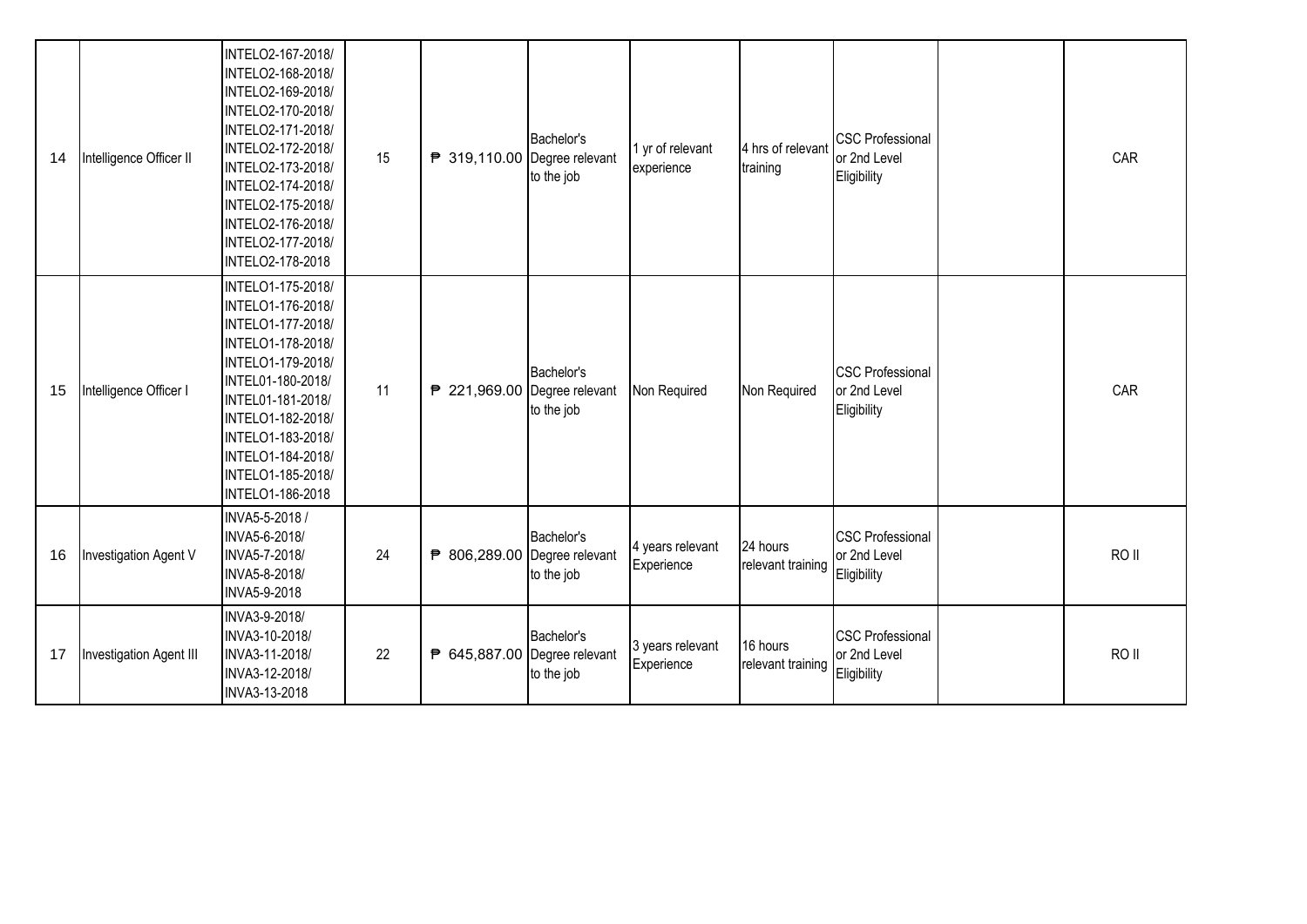| 14 | Intelligence Officer II | INTELO2-167-2018/<br>INTELO2-168-2018/<br>INTELO2-169-2018/<br>INTELO2-170-2018/<br>INTELO2-171-2018/<br>INTELO2-172-2018/<br>INTELO2-173-2018/<br>INTELO2-174-2018/<br>INTELO2-175-2018/<br>INTELO2-176-2018/<br>INTELO2-177-2018/<br>INTELO2-178-2018 | 15 | ₱ 319,110.00 Degree relevant | Bachelor's<br>to the job | 1 yr of relevant<br>experience | 4 hrs of relevant<br>training | <b>CSC Professional</b><br>or 2nd Level<br>Eligibility | CAR              |
|----|-------------------------|---------------------------------------------------------------------------------------------------------------------------------------------------------------------------------------------------------------------------------------------------------|----|------------------------------|--------------------------|--------------------------------|-------------------------------|--------------------------------------------------------|------------------|
| 15 | Intelligence Officer I  | INTELO1-175-2018/<br>INTELO1-176-2018/<br>INTELO1-177-2018/<br>INTELO1-178-2018/<br>INTELO1-179-2018/<br>INTEL01-180-2018/<br>INTEL01-181-2018/<br>INTELO1-182-2018/<br>INTELO1-183-2018/<br>INTELO1-184-2018/<br>INTELO1-185-2018/<br>INTELO1-186-2018 | 11 | ₱ 221,969.00 Degree relevant | Bachelor's<br>to the job | Non Required                   | Non Required                  | <b>CSC Professional</b><br>or 2nd Level<br>Eligibility | CAR              |
| 16 | Investigation Agent V   | INVA5-5-2018 /<br>INVA5-6-2018/<br>INVA5-7-2018/<br>INVA5-8-2018/<br>INVA5-9-2018                                                                                                                                                                       | 24 | ₱ 806,289.00 Degree relevant | Bachelor's<br>to the job | 4 years relevant<br>Experience | 24 hours<br>relevant training | <b>CSC Professional</b><br>or 2nd Level<br>Eligibility | RO <sub>II</sub> |
| 17 | Investigation Agent III | INVA3-9-2018/<br>INVA3-10-2018/<br>INVA3-11-2018/<br>INVA3-12-2018/<br>INVA3-13-2018                                                                                                                                                                    | 22 | ₱ 645,887.00 Degree relevant | Bachelor's<br>to the job | 3 years relevant<br>Experience | 16 hours<br>relevant training | <b>CSC Professional</b><br>or 2nd Level<br>Eligibility | RO <sub>II</sub> |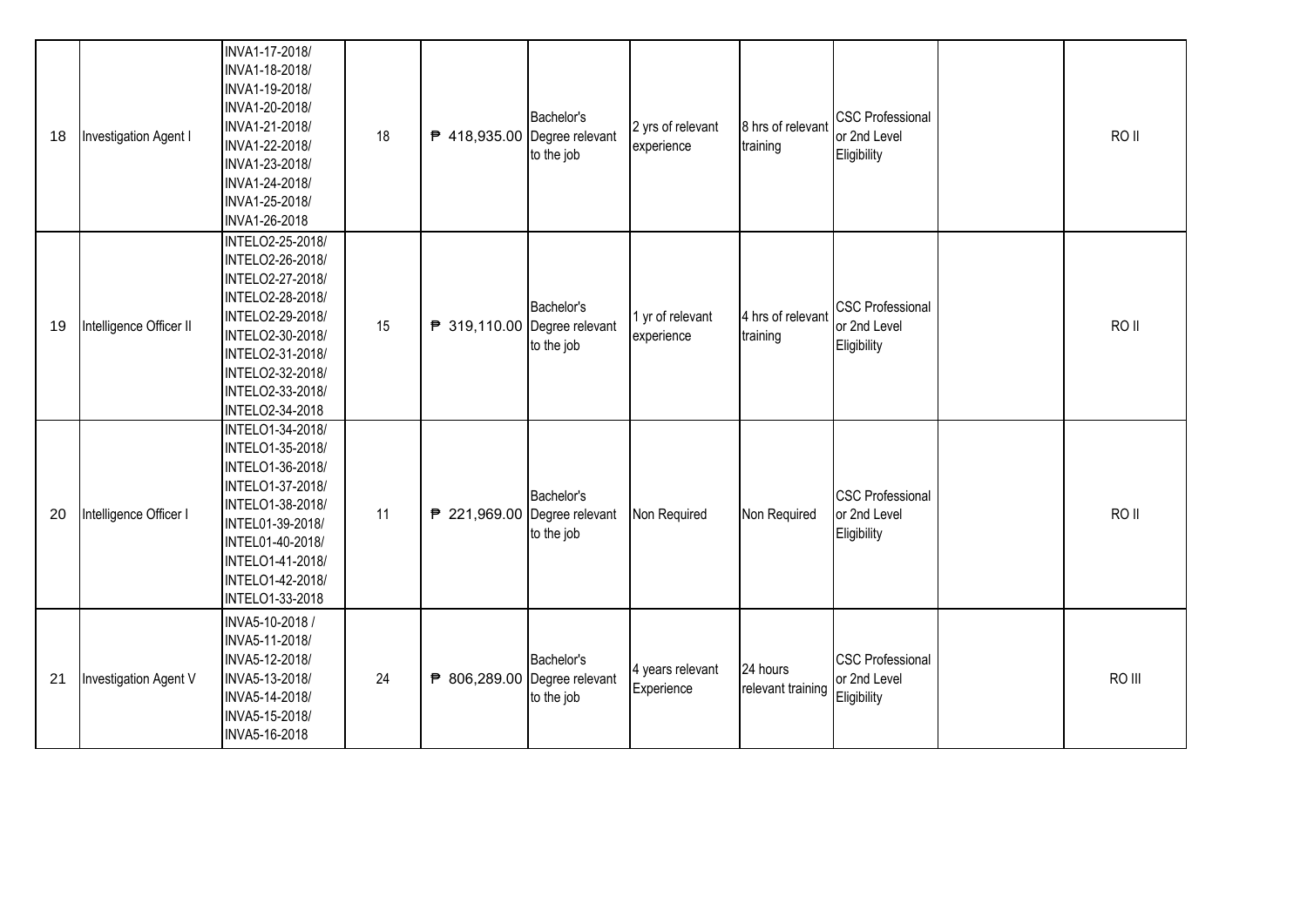| 18 | Investigation Agent I   | INVA1-17-2018/<br>INVA1-18-2018/<br>INVA1-19-2018/<br>INVA1-20-2018/<br>INVA1-21-2018/<br>INVA1-22-2018/<br>INVA1-23-2018/<br>INVA1-24-2018/<br>INVA1-25-2018/<br>INVA1-26-2018                     | 18 | ₱ 418,935.00 Degree relevant | Bachelor's<br>to the job | 2 yrs of relevant<br>experience | 8 hrs of relevant<br>training | <b>CSC Professional</b><br>or 2nd Level<br>Eligibility | RO II  |
|----|-------------------------|-----------------------------------------------------------------------------------------------------------------------------------------------------------------------------------------------------|----|------------------------------|--------------------------|---------------------------------|-------------------------------|--------------------------------------------------------|--------|
| 19 | Intelligence Officer II | INTELO2-25-2018/<br>INTELO2-26-2018/<br>INTELO2-27-2018/<br>INTELO2-28-2018/<br>INTELO2-29-2018/<br>INTELO2-30-2018/<br>INTELO2-31-2018/<br>INTELO2-32-2018/<br>INTELO2-33-2018/<br>INTELO2-34-2018 | 15 | ₱ 319,110.00 Degree relevant | Bachelor's<br>to the job | 1 yr of relevant<br>experience  | 4 hrs of relevant<br>training | <b>CSC Professional</b><br>or 2nd Level<br>Eligibility | RO II  |
| 20 | Intelligence Officer I  | INTELO1-34-2018/<br>INTELO1-35-2018/<br>INTELO1-36-2018/<br>INTELO1-37-2018/<br>INTELO1-38-2018/<br>INTEL01-39-2018/<br>INTEL01-40-2018/<br>INTELO1-41-2018/<br>INTELO1-42-2018/<br>INTELO1-33-2018 | 11 | ₱ 221,969.00 Degree relevant | Bachelor's<br>to the job | Non Required                    | Non Required                  | <b>CSC Professional</b><br>or 2nd Level<br>Eligibility | RO II  |
| 21 | Investigation Agent V   | INVA5-10-2018 /<br>INVA5-11-2018/<br>INVA5-12-2018/<br>INVA5-13-2018/<br>INVA5-14-2018/<br>INVA5-15-2018/<br>INVA5-16-2018                                                                          | 24 | ₱ 806,289.00 Degree relevant | Bachelor's<br>to the job | 4 years relevant<br>Experience  | 24 hours<br>relevant training | <b>CSC Professional</b><br>or 2nd Level<br>Eligibility | RO III |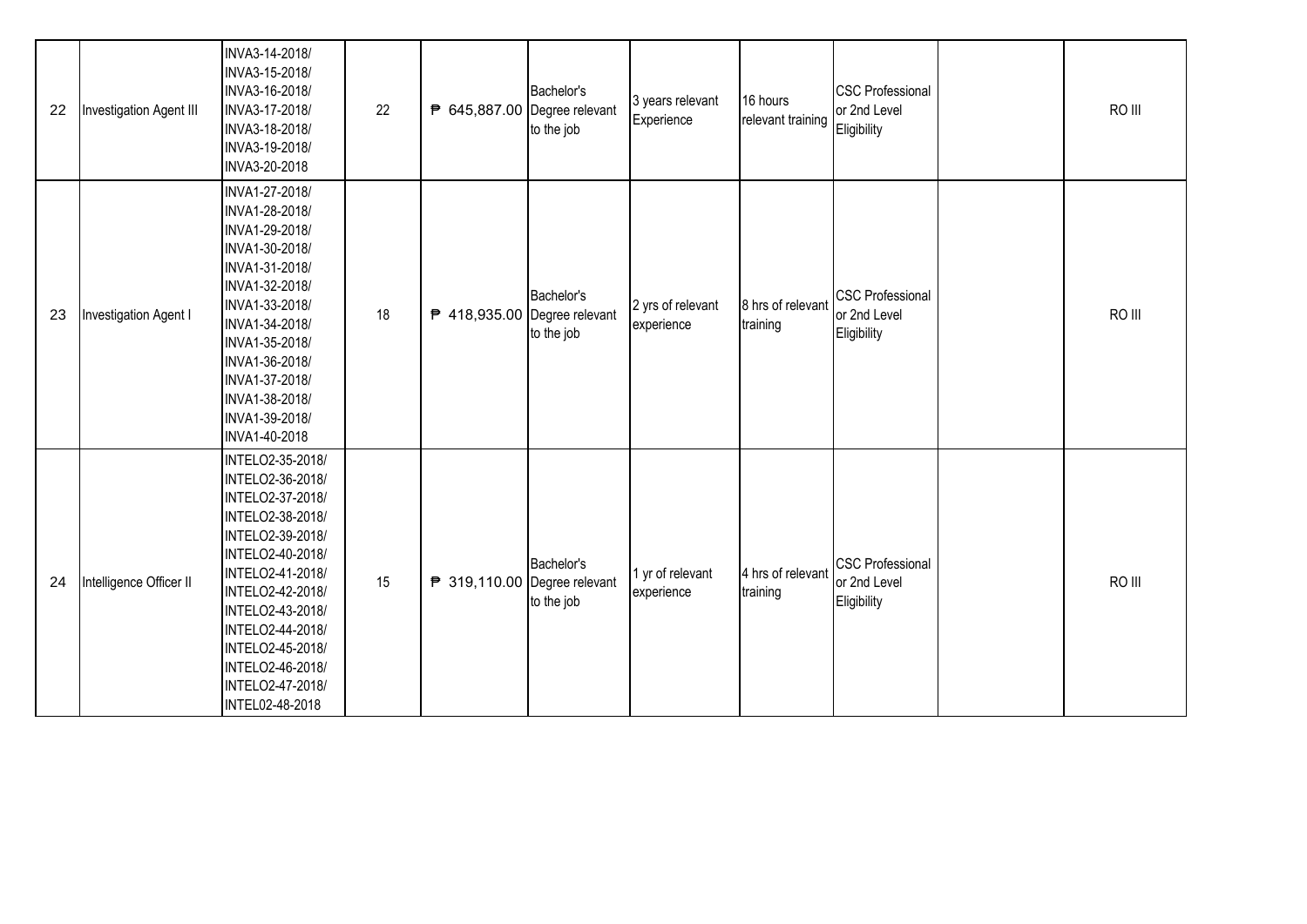| 22 | Investigation Agent III      | INVA3-14-2018/<br>INVA3-15-2018/<br>INVA3-16-2018/<br>INVA3-17-2018/<br>INVA3-18-2018/<br>INVA3-19-2018/<br>INVA3-20-2018                                                                                                                                                           | 22 | ₱ 645,887.00 Degree relevant | Bachelor's<br>to the job | 3 years relevant<br>Experience  | 16 hours<br>relevant training | <b>CSC Professional</b><br>or 2nd Level<br>Eligibility | RO III |
|----|------------------------------|-------------------------------------------------------------------------------------------------------------------------------------------------------------------------------------------------------------------------------------------------------------------------------------|----|------------------------------|--------------------------|---------------------------------|-------------------------------|--------------------------------------------------------|--------|
| 23 | <b>Investigation Agent I</b> | INVA1-27-2018/<br>INVA1-28-2018/<br>INVA1-29-2018/<br>INVA1-30-2018/<br>INVA1-31-2018/<br>INVA1-32-2018/<br>INVA1-33-2018/<br>INVA1-34-2018/<br>INVA1-35-2018/<br>INVA1-36-2018/<br>INVA1-37-2018/<br>INVA1-38-2018/<br>INVA1-39-2018/<br>INVA1-40-2018                             | 18 | ₱ 418,935.00 Degree relevant | Bachelor's<br>to the job | 2 yrs of relevant<br>experience | 8 hrs of relevant<br>training | <b>CSC Professional</b><br>or 2nd Level<br>Eligibility | RO III |
| 24 | Intelligence Officer II      | INTELO2-35-2018/<br>INTELO2-36-2018/<br>INTELO2-37-2018/<br>INTELO2-38-2018/<br>INTELO2-39-2018/<br>INTELO2-40-2018/<br>INTELO2-41-2018/<br>INTELO2-42-2018/<br>INTELO2-43-2018/<br>INTELO2-44-2018/<br>INTELO2-45-2018/<br>INTELO2-46-2018/<br>INTELO2-47-2018/<br>INTEL02-48-2018 | 15 | ₱ 319,110.00 Degree relevant | Bachelor's<br>to the job | 1 yr of relevant<br>experience  | 4 hrs of relevant<br>training | <b>CSC Professional</b><br>or 2nd Level<br>Eligibility | RO III |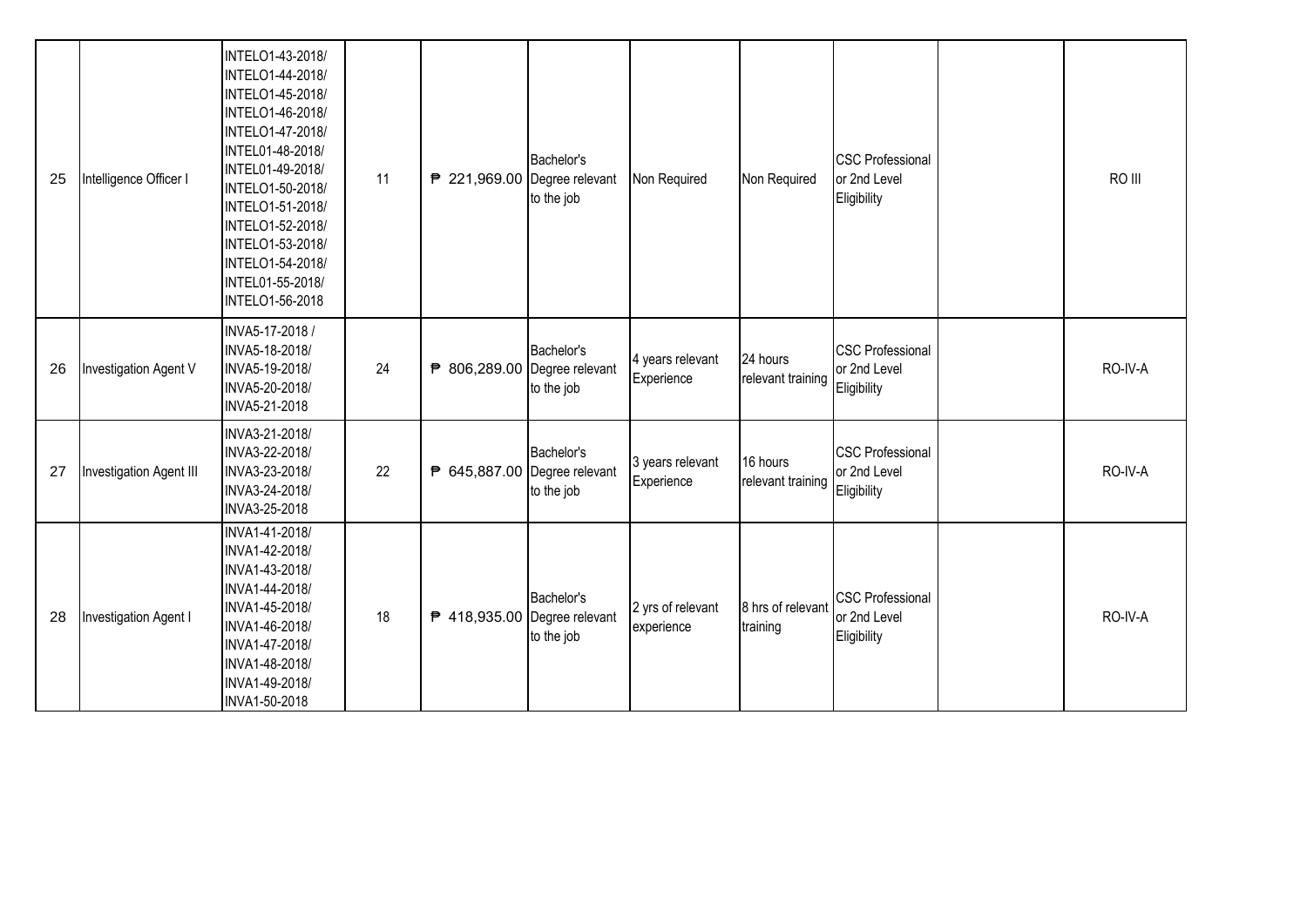| 25 | Intelligence Officer I  | INTELO1-43-2018/<br>INTELO1-44-2018/<br>INTELO1-45-2018/<br>INTELO1-46-2018/<br>INTELO1-47-2018/<br>INTEL01-48-2018/<br>INTEL01-49-2018/<br>INTELO1-50-2018/<br>INTELO1-51-2018/<br>INTELO1-52-2018/<br>INTELO1-53-2018/<br>INTELO1-54-2018/<br>INTEL01-55-2018/<br>INTELO1-56-2018 | 11 | ₱ 221,969.00 Degree relevant | Bachelor's<br>to the job | Non Required                    | Non Required                  | <b>CSC Professional</b><br>or 2nd Level<br>Eligibility | RO III  |
|----|-------------------------|-------------------------------------------------------------------------------------------------------------------------------------------------------------------------------------------------------------------------------------------------------------------------------------|----|------------------------------|--------------------------|---------------------------------|-------------------------------|--------------------------------------------------------|---------|
| 26 | Investigation Agent V   | INVA5-17-2018 /<br>INVA5-18-2018/<br>INVA5-19-2018/<br>INVA5-20-2018/<br>INVA5-21-2018                                                                                                                                                                                              | 24 | ₱ 806,289.00 Degree relevant | Bachelor's<br>to the job | 4 years relevant<br>Experience  | 24 hours<br>relevant training | <b>CSC Professional</b><br>or 2nd Level<br>Eligibility | RO-IV-A |
| 27 | Investigation Agent III | INVA3-21-2018/<br>INVA3-22-2018/<br>INVA3-23-2018/<br>INVA3-24-2018/<br>INVA3-25-2018                                                                                                                                                                                               | 22 | ₱ 645,887.00 Degree relevant | Bachelor's<br>to the job | 3 years relevant<br>Experience  | 16 hours<br>relevant training | <b>CSC Professional</b><br>or 2nd Level<br>Eligibility | RO-IV-A |
| 28 | Investigation Agent I   | INVA1-41-2018/<br>INVA1-42-2018/<br>INVA1-43-2018/<br>INVA1-44-2018/<br>INVA1-45-2018/<br>INVA1-46-2018/<br>INVA1-47-2018/<br>INVA1-48-2018/<br>INVA1-49-2018/<br>INVA1-50-2018                                                                                                     | 18 | ₱ 418,935.00 Degree relevant | Bachelor's<br>to the job | 2 yrs of relevant<br>experience | 8 hrs of relevant<br>training | <b>CSC Professional</b><br>or 2nd Level<br>Eligibility | RO-IV-A |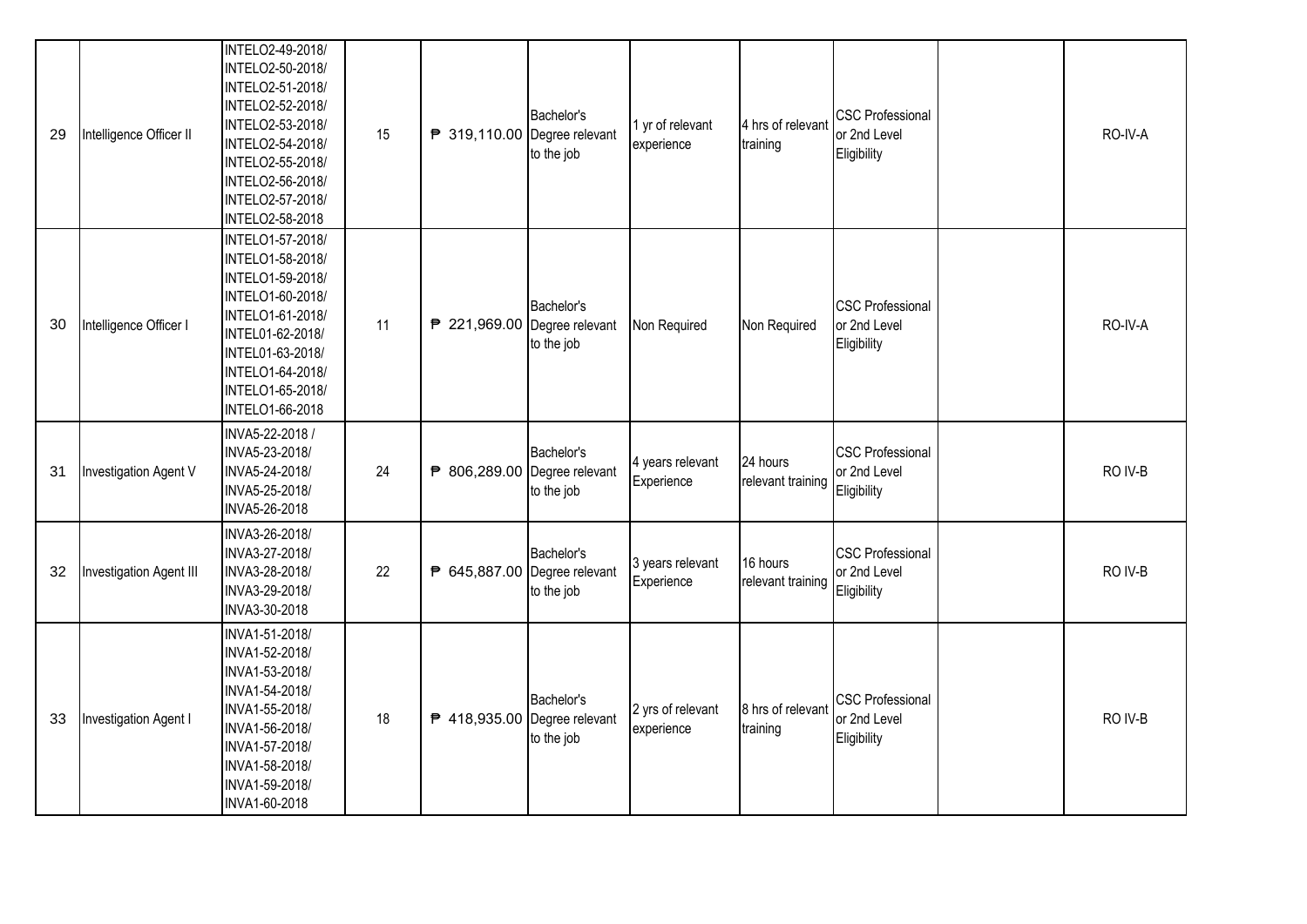| 29 | Intelligence Officer II | INTELO2-49-2018/<br>INTELO2-50-2018/<br>INTELO2-51-2018/<br>INTELO2-52-2018/<br>INTELO2-53-2018/<br>INTELO2-54-2018/<br>INTELO2-55-2018/<br>INTELO2-56-2018/<br>INTELO2-57-2018/<br>INTELO2-58-2018 | 15 | ₱ 319,110.00 Degree relevant | Bachelor's<br>to the job | 1 yr of relevant<br>experience  | 4 hrs of relevant<br>training | <b>CSC Professional</b><br>or 2nd Level<br>Eligibility | RO-IV-A |
|----|-------------------------|-----------------------------------------------------------------------------------------------------------------------------------------------------------------------------------------------------|----|------------------------------|--------------------------|---------------------------------|-------------------------------|--------------------------------------------------------|---------|
| 30 | Intelligence Officer I  | INTELO1-57-2018/<br>INTELO1-58-2018/<br>INTELO1-59-2018/<br>INTELO1-60-2018/<br>INTELO1-61-2018/<br>INTEL01-62-2018/<br>INTEL01-63-2018/<br>INTELO1-64-2018/<br>INTELO1-65-2018/<br>INTELO1-66-2018 | 11 | ₱ 221,969.00 Degree relevant | Bachelor's<br>to the job | Non Required                    | Non Required                  | <b>CSC Professional</b><br>or 2nd Level<br>Eligibility | RO-IV-A |
| 31 | Investigation Agent V   | INVA5-22-2018 /<br>INVA5-23-2018/<br>INVA5-24-2018/<br>INVA5-25-2018/<br>INVA5-26-2018                                                                                                              | 24 | ₱ 806,289.00 Degree relevant | Bachelor's<br>to the job | 4 years relevant<br>Experience  | 24 hours<br>relevant training | <b>CSC Professional</b><br>or 2nd Level<br>Eligibility | RO IV-B |
| 32 | Investigation Agent III | INVA3-26-2018/<br>INVA3-27-2018/<br>INVA3-28-2018/<br>INVA3-29-2018/<br>INVA3-30-2018                                                                                                               | 22 | ₱ 645,887.00 Degree relevant | Bachelor's<br>to the job | 3 years relevant<br>Experience  | 16 hours<br>relevant training | <b>CSC Professional</b><br>or 2nd Level<br>Eligibility | RO IV-B |
| 33 | Investigation Agent I   | INVA1-51-2018/<br>INVA1-52-2018/<br>INVA1-53-2018/<br>INVA1-54-2018/<br>INVA1-55-2018/<br>INVA1-56-2018/<br>INVA1-57-2018/<br>INVA1-58-2018/<br>INVA1-59-2018/<br>INVA1-60-2018                     | 18 | ₱ 418,935.00 Degree relevant | Bachelor's<br>to the job | 2 yrs of relevant<br>experience | 8 hrs of relevant<br>training | <b>CSC Professional</b><br>or 2nd Level<br>Eligibility | RO IV-B |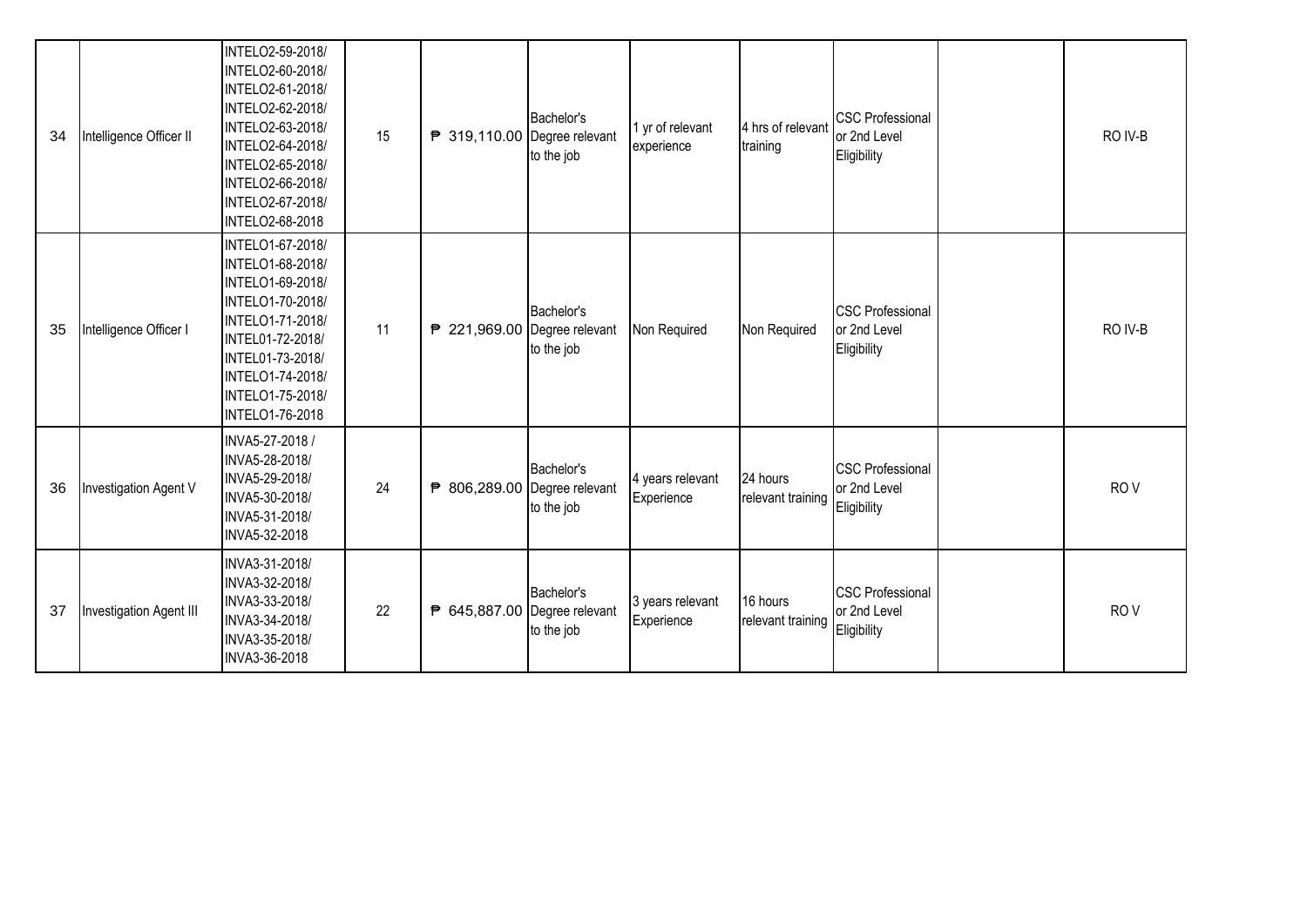| 34 | Intelligence Officer II | INTELO2-59-2018/<br>INTELO2-60-2018/<br>INTELO2-61-2018/<br>INTELO2-62-2018/<br>INTELO2-63-2018/<br>INTELO2-64-2018/<br>INTELO2-65-2018/<br>INTELO2-66-2018/<br><b>INTELO2-67-2018/</b><br>INTELO2-68-2018 | 15 | ₱ 319,110.00 Degree relevant | Bachelor's<br>to the job | 1 yr of relevant<br>experience | 4 hrs of relevant<br>training | <b>CSC Professional</b><br>or 2nd Level<br>Eligibility | RO IV-B         |
|----|-------------------------|------------------------------------------------------------------------------------------------------------------------------------------------------------------------------------------------------------|----|------------------------------|--------------------------|--------------------------------|-------------------------------|--------------------------------------------------------|-----------------|
| 35 | Intelligence Officer I  | INTELO1-67-2018/<br>INTELO1-68-2018/<br>INTELO1-69-2018/<br>INTELO1-70-2018/<br>INTELO1-71-2018/<br>INTEL01-72-2018/<br>INTEL01-73-2018/<br>INTELO1-74-2018/<br>INTELO1-75-2018/<br><b>INTELO1-76-2018</b> | 11 | ₱ 221,969.00 Degree relevant | Bachelor's<br>to the job | Non Required                   | Non Required                  | <b>CSC Professional</b><br>or 2nd Level<br>Eligibility | RO IV-B         |
| 36 | Investigation Agent V   | INVA5-27-2018 /<br>INVA5-28-2018/<br>INVA5-29-2018/<br>INVA5-30-2018/<br>INVA5-31-2018/<br>INVA5-32-2018                                                                                                   | 24 | ₱ 806,289.00 Degree relevant | Bachelor's<br>to the job | 4 years relevant<br>Experience | 24 hours<br>relevant training | <b>CSC Professional</b><br>or 2nd Level<br>Eligibility | RO <sub>V</sub> |
| 37 | Investigation Agent III | INVA3-31-2018/<br>INVA3-32-2018/<br>INVA3-33-2018/<br>INVA3-34-2018/<br>INVA3-35-2018/<br>INVA3-36-2018                                                                                                    | 22 | ₱ 645,887.00 Degree relevant | Bachelor's<br>to the job | 3 years relevant<br>Experience | 16 hours<br>relevant training | <b>CSC Professional</b><br>or 2nd Level<br>Eligibility | RO <sub>V</sub> |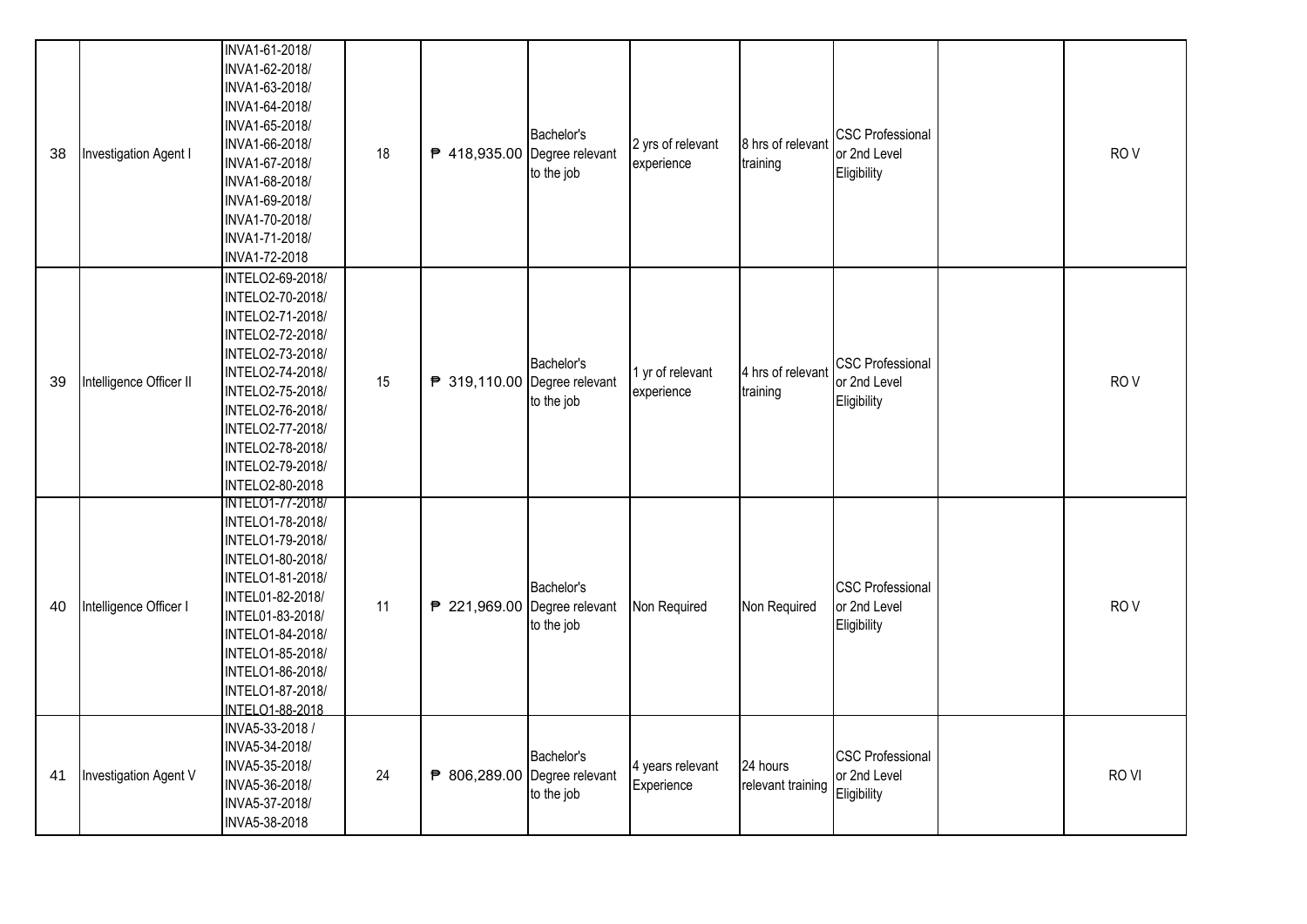| 38 | Investigation Agent I   | INVA1-61-2018/<br>INVA1-62-2018/<br>INVA1-63-2018/<br>INVA1-64-2018/<br>INVA1-65-2018/<br>INVA1-66-2018/<br>INVA1-67-2018/<br>INVA1-68-2018/<br>INVA1-69-2018/<br>INVA1-70-2018/<br>INVA1-71-2018/<br>INVA1-72-2018                                       | 18 | ₱ 418,935.00 Degree relevant | Bachelor's<br>to the job | 2 yrs of relevant<br>experience | 8 hrs of relevant<br>training | <b>CSC Professional</b><br>or 2nd Level<br>Eligibility | RO <sub>V</sub>  |
|----|-------------------------|-----------------------------------------------------------------------------------------------------------------------------------------------------------------------------------------------------------------------------------------------------------|----|------------------------------|--------------------------|---------------------------------|-------------------------------|--------------------------------------------------------|------------------|
| 39 | Intelligence Officer II | INTELO2-69-2018/<br>INTELO2-70-2018/<br>INTELO2-71-2018/<br>INTELO2-72-2018/<br>INTELO2-73-2018/<br>INTELO2-74-2018/<br>INTELO2-75-2018/<br>INTELO2-76-2018/<br>INTELO2-77-2018/<br>INTELO2-78-2018/<br>INTELO2-79-2018/<br><b>INTELO2-80-2018</b>        | 15 | ₱ 319,110.00 Degree relevant | Bachelor's<br>to the job | 1 yr of relevant<br>experience  | 4 hrs of relevant<br>training | <b>CSC Professional</b><br>or 2nd Level<br>Eligibility | RO <sub>V</sub>  |
| 40 | Intelligence Officer I  | <b>INTELO1-77-2018/</b><br>INTELO1-78-2018/<br>INTELO1-79-2018/<br>INTELO1-80-2018/<br>INTELO1-81-2018/<br>INTEL01-82-2018/<br>INTEL01-83-2018/<br>INTELO1-84-2018/<br>INTELO1-85-2018/<br>INTELO1-86-2018/<br>INTELO1-87-2018/<br><b>INTELO1-88-2018</b> | 11 | ₱ 221,969.00 Degree relevant | Bachelor's<br>to the job | Non Required                    | Non Required                  | <b>CSC Professional</b><br>or 2nd Level<br>Eligibility | RO <sub>V</sub>  |
| 41 | Investigation Agent V   | INVA5-33-2018 /<br>INVA5-34-2018/<br>INVA5-35-2018/<br>INVA5-36-2018/<br>INVA5-37-2018/<br>INVA5-38-2018                                                                                                                                                  | 24 | ₱ 806,289.00 Degree relevant | Bachelor's<br>to the job | 4 years relevant<br>Experience  | 24 hours<br>relevant training | <b>CSC Professional</b><br>or 2nd Level<br>Eligibility | RO <sub>VI</sub> |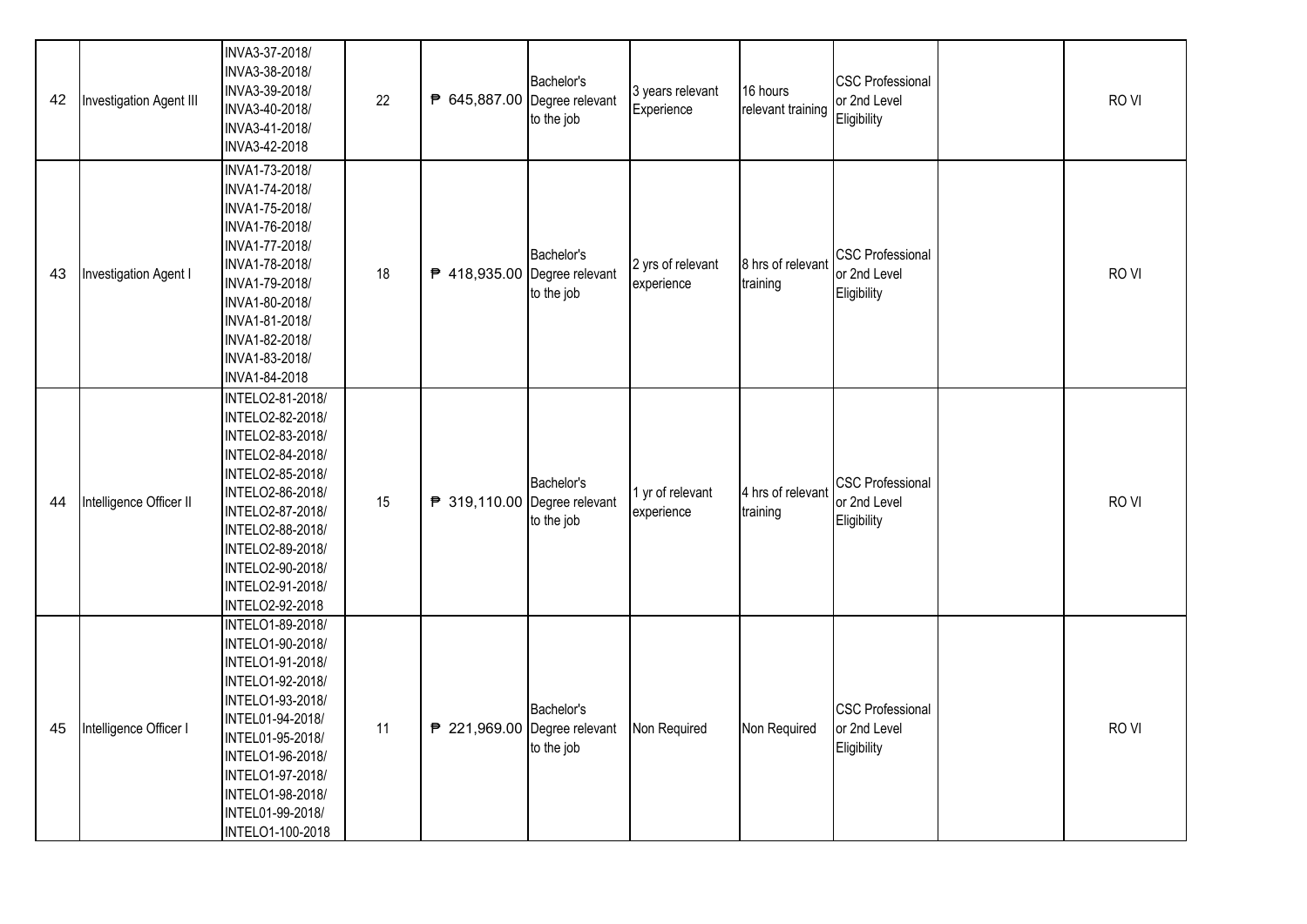| 42 | Investigation Agent III | INVA3-37-2018/<br>INVA3-38-2018/<br>INVA3-39-2018/<br>INVA3-40-2018/<br>INVA3-41-2018/<br>INVA3-42-2018                                                                                                                                      | 22 | ₱ 645,887.00 Degree relevant | Bachelor's<br>to the job | 3 years relevant<br>Experience  | 16 hours<br>relevant training | <b>CSC Professional</b><br>or 2nd Level<br>Eligibility | RO <sub>VI</sub> |
|----|-------------------------|----------------------------------------------------------------------------------------------------------------------------------------------------------------------------------------------------------------------------------------------|----|------------------------------|--------------------------|---------------------------------|-------------------------------|--------------------------------------------------------|------------------|
| 43 | Investigation Agent I   | INVA1-73-2018/<br>INVA1-74-2018/<br>INVA1-75-2018/<br>INVA1-76-2018/<br>INVA1-77-2018/<br>INVA1-78-2018/<br>INVA1-79-2018/<br>INVA1-80-2018/<br>INVA1-81-2018/<br>INVA1-82-2018/<br>INVA1-83-2018/<br>INVA1-84-2018                          | 18 | ₱ 418,935.00 Degree relevant | Bachelor's<br>to the job | 2 yrs of relevant<br>experience | 8 hrs of relevan<br>training  | <b>CSC Professional</b><br>or 2nd Level<br>Eligibility | RO <sub>VI</sub> |
| 44 | Intelligence Officer II | INTELO2-81-2018/<br>INTELO2-82-2018/<br>INTELO2-83-2018/<br>INTELO2-84-2018/<br>INTELO2-85-2018/<br>INTELO2-86-2018/<br>INTELO2-87-2018/<br>INTELO2-88-2018/<br>INTELO2-89-2018/<br>INTELO2-90-2018/<br>INTELO2-91-2018/<br>INTELO2-92-2018  | 15 | ₱ 319,110.00 Degree relevant | Bachelor's<br>to the job | 1 yr of relevant<br>experience  | 4 hrs of relevant<br>training | <b>CSC Professional</b><br>or 2nd Level<br>Eligibility | RO <sub>VI</sub> |
| 45 | Intelligence Officer I  | INTELO1-89-2018/<br>INTELO1-90-2018/<br>INTELO1-91-2018/<br>INTELO1-92-2018/<br>INTELO1-93-2018/<br>INTEL01-94-2018/<br>INTEL01-95-2018/<br>INTELO1-96-2018/<br>INTELO1-97-2018/<br>INTELO1-98-2018/<br>INTEL01-99-2018/<br>INTELO1-100-2018 | 11 | ₱ 221,969.00 Degree relevant | Bachelor's<br>to the job | Non Required                    | Non Required                  | <b>CSC Professional</b><br>or 2nd Level<br>Eligibility | RO <sub>VI</sub> |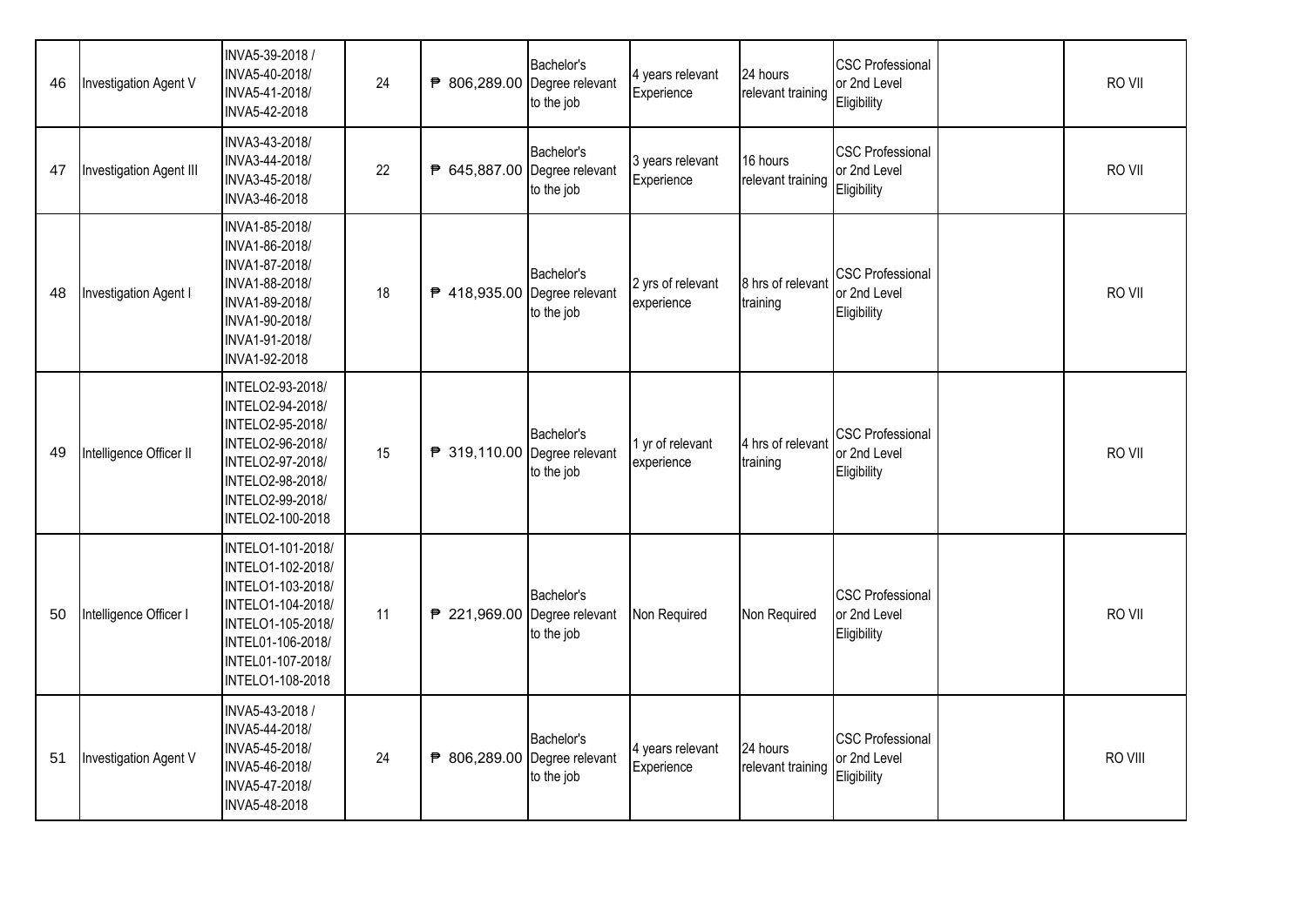| 46 | Investigation Agent V   | INVA5-39-2018 /<br>INVA5-40-2018/<br>INVA5-41-2018/<br>INVA5-42-2018                                                                                                | 24 | ₱ 806,289.00 Degree relevant | Bachelor's<br>to the job | 4 years relevant<br>Experience  | 24 hours<br>relevant training | <b>CSC Professional</b><br>or 2nd Level<br>Eligibility | RO VII  |
|----|-------------------------|---------------------------------------------------------------------------------------------------------------------------------------------------------------------|----|------------------------------|--------------------------|---------------------------------|-------------------------------|--------------------------------------------------------|---------|
| 47 | Investigation Agent III | INVA3-43-2018/<br>INVA3-44-2018/<br>INVA3-45-2018/<br>INVA3-46-2018                                                                                                 | 22 | ₱ 645,887.00 Degree relevant | Bachelor's<br>to the job | 3 years relevant<br>Experience  | 16 hours<br>relevant training | <b>CSC Professional</b><br>or 2nd Level<br>Eligibility | RO VII  |
| 48 | Investigation Agent I   | INVA1-85-2018/<br>INVA1-86-2018/<br>INVA1-87-2018/<br>INVA1-88-2018/<br>INVA1-89-2018/<br>INVA1-90-2018/<br>INVA1-91-2018/<br>INVA1-92-2018                         | 18 | ₱ 418,935.00 Degree relevant | Bachelor's<br>to the job | 2 yrs of relevant<br>experience | 8 hrs of relevant<br>training | <b>CSC Professional</b><br>or 2nd Level<br>Eligibility | RO VII  |
| 49 | Intelligence Officer II | INTELO2-93-2018/<br>INTELO2-94-2018/<br>INTELO2-95-2018/<br>INTELO2-96-2018/<br>INTELO2-97-2018/<br>INTELO2-98-2018/<br>INTELO2-99-2018/<br>INTELO2-100-2018        | 15 | ₱ 319,110.00 Degree relevant | Bachelor's<br>to the job | 1 yr of relevant<br>experience  | 4 hrs of relevant<br>training | <b>CSC Professional</b><br>or 2nd Level<br>Eligibility | RO VII  |
| 50 | Intelligence Officer I  | INTELO1-101-2018/<br>INTELO1-102-2018/<br>INTELO1-103-2018/<br>INTELO1-104-2018/<br>INTELO1-105-2018/<br>INTEL01-106-2018/<br>INTEL01-107-2018/<br>INTELO1-108-2018 | 11 | ₱ 221,969.00 Degree relevant | Bachelor's<br>to the job | Non Required                    | Non Required                  | <b>CSC Professional</b><br>or 2nd Level<br>Eligibility | RO VII  |
| 51 | Investigation Agent V   | INVA5-43-2018 /<br>INVA5-44-2018/<br>INVA5-45-2018/<br>INVA5-46-2018/<br>INVA5-47-2018/<br>INVA5-48-2018                                                            | 24 | ₱ 806,289.00 Degree relevant | Bachelor's<br>to the job | 4 years relevant<br>Experience  | 24 hours<br>relevant training | <b>CSC Professional</b><br>or 2nd Level<br>Eligibility | RO VIII |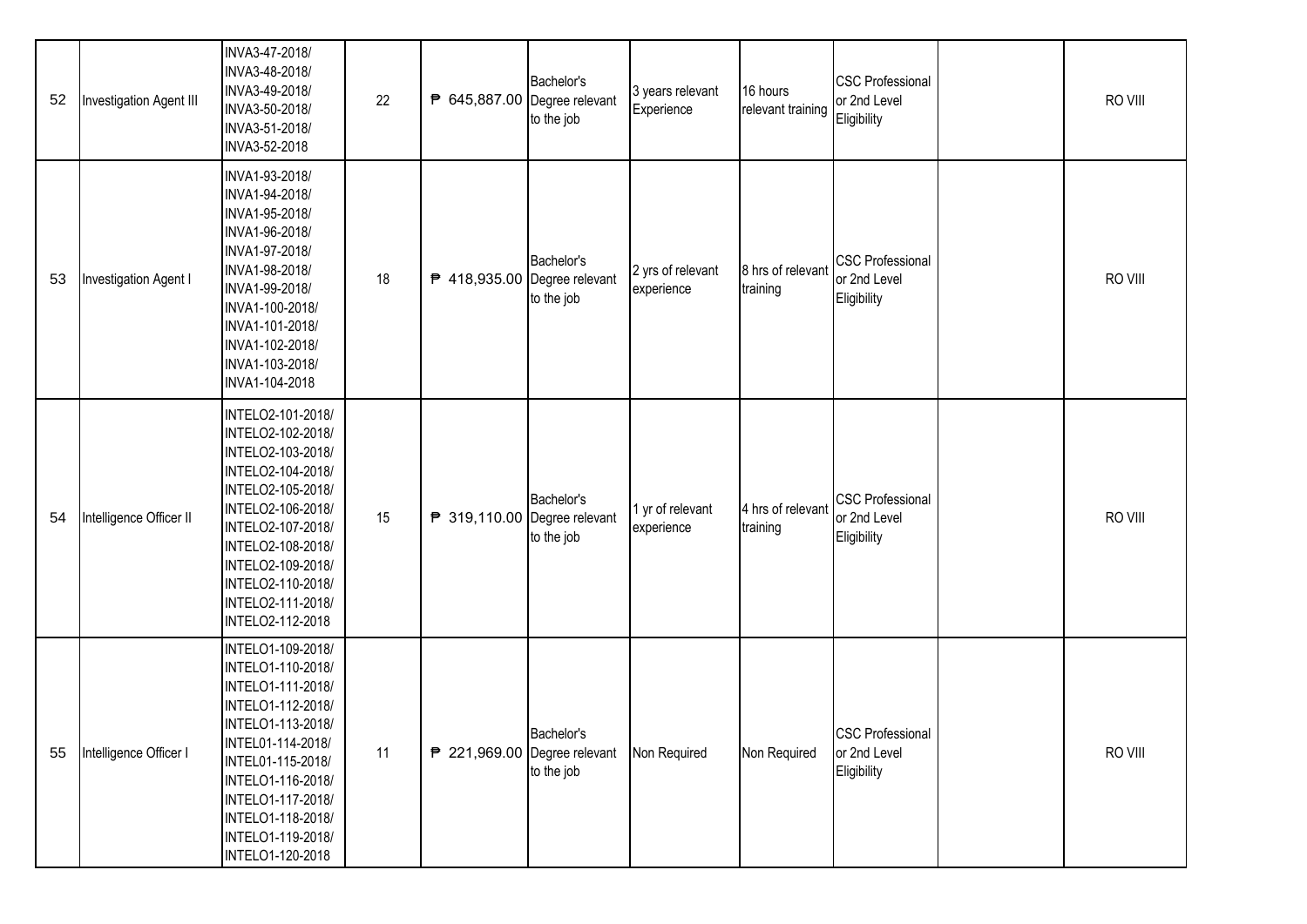| 52 | Investigation Agent III | INVA3-47-2018/<br>INVA3-48-2018/<br>INVA3-49-2018/<br>INVA3-50-2018/<br>INVA3-51-2018/<br>INVA3-52-2018                                                                                                                                                 | 22 | ₱ 645,887.00 Degree relevant | Bachelor's<br>to the job | 3 years relevant<br>Experience  | 16 hours<br>relevant training | <b>CSC Professional</b><br>or 2nd Level<br>Eligibility | RO VIII |
|----|-------------------------|---------------------------------------------------------------------------------------------------------------------------------------------------------------------------------------------------------------------------------------------------------|----|------------------------------|--------------------------|---------------------------------|-------------------------------|--------------------------------------------------------|---------|
| 53 | Investigation Agent I   | INVA1-93-2018/<br>INVA1-94-2018/<br>INVA1-95-2018/<br>INVA1-96-2018/<br>INVA1-97-2018/<br>INVA1-98-2018/<br>INVA1-99-2018/<br>INVA1-100-2018/<br>INVA1-101-2018/<br>INVA1-102-2018/<br>INVA1-103-2018/<br>INVA1-104-2018                                | 18 | ₱ 418,935.00 Degree relevant | Bachelor's<br>to the job | 2 yrs of relevant<br>experience | 8 hrs of relevant<br>training | <b>CSC Professional</b><br>or 2nd Level<br>Eligibility | RO VIII |
| 54 | Intelligence Officer II | INTELO2-101-2018/<br>INTELO2-102-2018/<br>INTELO2-103-2018/<br>INTELO2-104-2018/<br>INTELO2-105-2018/<br>INTELO2-106-2018/<br>INTELO2-107-2018/<br>INTELO2-108-2018/<br>INTELO2-109-2018/<br>INTELO2-110-2018/<br>INTELO2-111-2018/<br>INTELO2-112-2018 | 15 | ₱ 319,110.00 Degree relevant | Bachelor's<br>to the job | 1 yr of relevant<br>experience  | 4 hrs of relevant<br>training | <b>CSC Professional</b><br>or 2nd Level<br>Eligibility | RO VIII |
| 55 | Intelligence Officer I  | INTELO1-109-2018/<br>INTELO1-110-2018/<br>INTELO1-111-2018/<br>INTELO1-112-2018/<br>INTELO1-113-2018/<br>INTEL01-114-2018/<br>INTEL01-115-2018/<br>INTELO1-116-2018/<br>INTELO1-117-2018/<br>INTELO1-118-2018/<br>INTELO1-119-2018/<br>INTELO1-120-2018 | 11 | ₱ 221,969.00 Degree relevant | Bachelor's<br>to the job | Non Required                    | Non Required                  | <b>CSC Professional</b><br>or 2nd Level<br>Eligibility | RO VIII |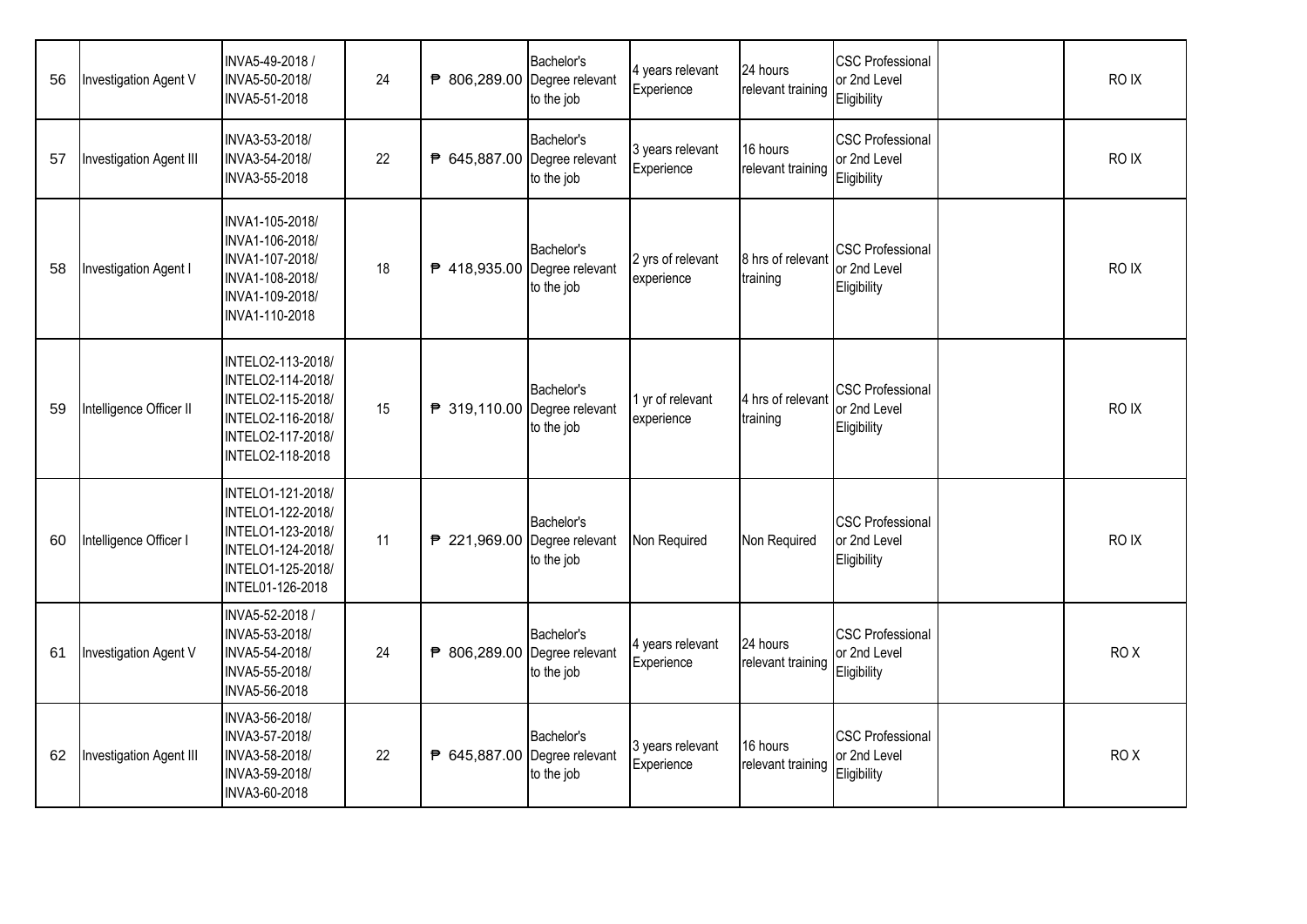| 56 | Investigation Agent V   | INVA5-49-2018 /<br>INVA5-50-2018/<br>INVA5-51-2018                                                                        | 24 | ₱ 806,289.00 Degree relevant | Bachelor's<br>to the job | 4 years relevant<br>Experience  | 24 hours<br>relevant training | <b>CSC Professional</b><br>or 2nd Level<br>Eligibility | RO IX           |
|----|-------------------------|---------------------------------------------------------------------------------------------------------------------------|----|------------------------------|--------------------------|---------------------------------|-------------------------------|--------------------------------------------------------|-----------------|
| 57 | Investigation Agent III | INVA3-53-2018/<br>INVA3-54-2018/<br>INVA3-55-2018                                                                         | 22 | ₱ 645,887.00 Degree relevant | Bachelor's<br>to the job | 3 years relevant<br>Experience  | 16 hours<br>relevant training | <b>CSC Professional</b><br>or 2nd Level<br>Eligibility | RO IX           |
| 58 | Investigation Agent I   | INVA1-105-2018/<br>INVA1-106-2018/<br>INVA1-107-2018/<br>INVA1-108-2018/<br>INVA1-109-2018/<br>INVA1-110-2018             | 18 | ₱ 418,935.00 Degree relevant | Bachelor's<br>to the job | 2 yrs of relevant<br>experience | 8 hrs of relevant<br>training | <b>CSC Professional</b><br>or 2nd Level<br>Eligibility | RO IX           |
| 59 | Intelligence Officer II | INTELO2-113-2018/<br>INTELO2-114-2018/<br>INTELO2-115-2018/<br>INTELO2-116-2018/<br>INTELO2-117-2018/<br>INTELO2-118-2018 | 15 | ₱ 319,110.00 Degree relevant | Bachelor's<br>to the job | 1 yr of relevant<br>experience  | 4 hrs of relevant<br>training | <b>CSC Professional</b><br>or 2nd Level<br>Eligibility | RO IX           |
| 60 | Intelligence Officer I  | INTELO1-121-2018/<br>INTELO1-122-2018/<br>INTELO1-123-2018/<br>INTELO1-124-2018/<br>INTELO1-125-2018/<br>INTEL01-126-2018 | 11 | ₱ 221,969.00 Degree relevant | Bachelor's<br>to the job | Non Required                    | Non Required                  | <b>CSC Professional</b><br>or 2nd Level<br>Eligibility | RO IX           |
| 61 | Investigation Agent V   | INVA5-52-2018 /<br>INVA5-53-2018/<br>INVA5-54-2018/<br>INVA5-55-2018/<br>INVA5-56-2018                                    | 24 | ₱ 806,289.00 Degree relevant | Bachelor's<br>to the job | 4 years relevant<br>Experience  | 24 hours<br>relevant training | <b>CSC Professional</b><br>or 2nd Level<br>Eligibility | RO <sub>X</sub> |
| 62 | Investigation Agent III | INVA3-56-2018/<br>INVA3-57-2018/<br>INVA3-58-2018/<br>INVA3-59-2018/<br>INVA3-60-2018                                     | 22 | ₱ 645,887.00 Degree relevant | Bachelor's<br>to the job | 3 years relevant<br>Experience  | 16 hours<br>relevant training | <b>CSC Professional</b><br>or 2nd Level<br>Eligibility | ROX             |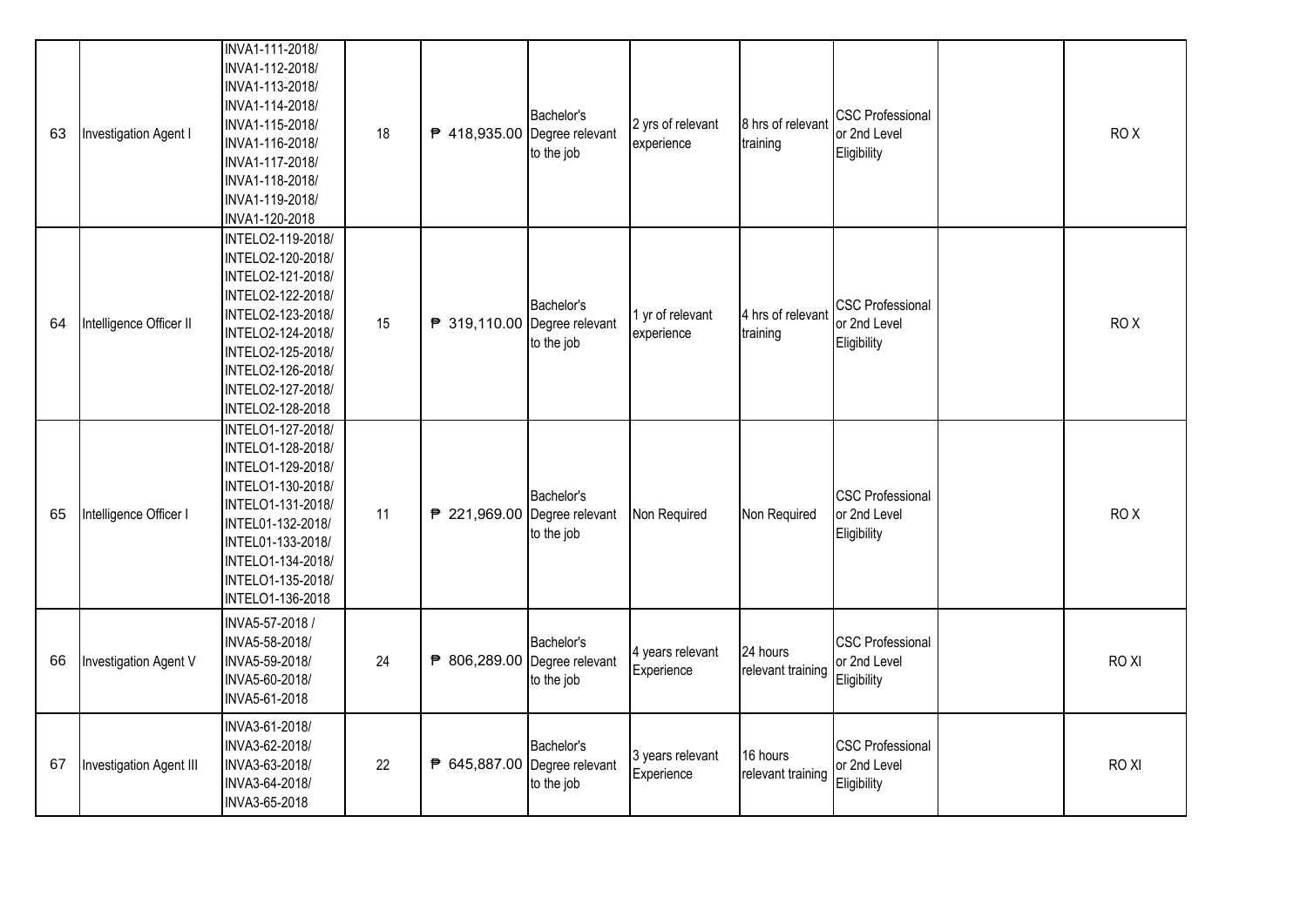| 63 | Investigation Agent I   | INVA1-111-2018/<br>INVA1-112-2018/<br>INVA1-113-2018/<br>INVA1-114-2018/<br>INVA1-115-2018/<br>INVA1-116-2018/<br>INVA1-117-2018/<br>INVA1-118-2018/<br>INVA1-119-2018/<br>INVA1-120-2018                     | 18 | ₱ 418,935.00 Degree relevant | Bachelor's<br>to the job | 2 yrs of relevant<br>experience | 8 hrs of relevant<br>training | <b>CSC Professional</b><br>or 2nd Level<br>Eligibility | ROX             |
|----|-------------------------|---------------------------------------------------------------------------------------------------------------------------------------------------------------------------------------------------------------|----|------------------------------|--------------------------|---------------------------------|-------------------------------|--------------------------------------------------------|-----------------|
| 64 | Intelligence Officer II | INTELO2-119-2018/<br>INTELO2-120-2018/<br>INTELO2-121-2018/<br>INTELO2-122-2018/<br>INTELO2-123-2018/<br>INTELO2-124-2018/<br>INTELO2-125-2018/<br>INTELO2-126-2018/<br>INTELO2-127-2018/<br>INTELO2-128-2018 | 15 | ₱ 319,110.00 Degree relevant | Bachelor's<br>to the job | 1 yr of relevant<br>experience  | 4 hrs of relevant<br>training | <b>CSC Professional</b><br>or 2nd Level<br>Eligibility | ROX             |
| 65 | Intelligence Officer I  | INTELO1-127-2018/<br>INTELO1-128-2018/<br>INTELO1-129-2018/<br>INTELO1-130-2018/<br>INTELO1-131-2018/<br>INTEL01-132-2018/<br>INTEL01-133-2018/<br>INTELO1-134-2018/<br>INTELO1-135-2018/<br>INTELO1-136-2018 | 11 | ₱ 221,969.00 Degree relevant | Bachelor's<br>to the job | Non Required                    | Non Required                  | <b>CSC Professional</b><br>or 2nd Level<br>Eligibility | RO <sub>X</sub> |
| 66 | Investigation Agent V   | INVA5-57-2018 /<br>INVA5-58-2018/<br>INVA5-59-2018/<br>INVA5-60-2018/<br>INVA5-61-2018                                                                                                                        | 24 | ₱ 806,289.00 Degree relevant | Bachelor's<br>to the job | 4 years relevant<br>Experience  | 24 hours<br>relevant training | <b>CSC Professional</b><br>or 2nd Level<br>Eligibility | RO XI           |
| 67 | Investigation Agent III | INVA3-61-2018/<br>INVA3-62-2018/<br>INVA3-63-2018/<br>INVA3-64-2018/<br>INVA3-65-2018                                                                                                                         | 22 | ₱ 645,887.00 Degree relevant | Bachelor's<br>to the job | 3 years relevant<br>Experience  | 16 hours<br>relevant training | <b>CSC Professional</b><br>or 2nd Level<br>Eligibility | RO XI           |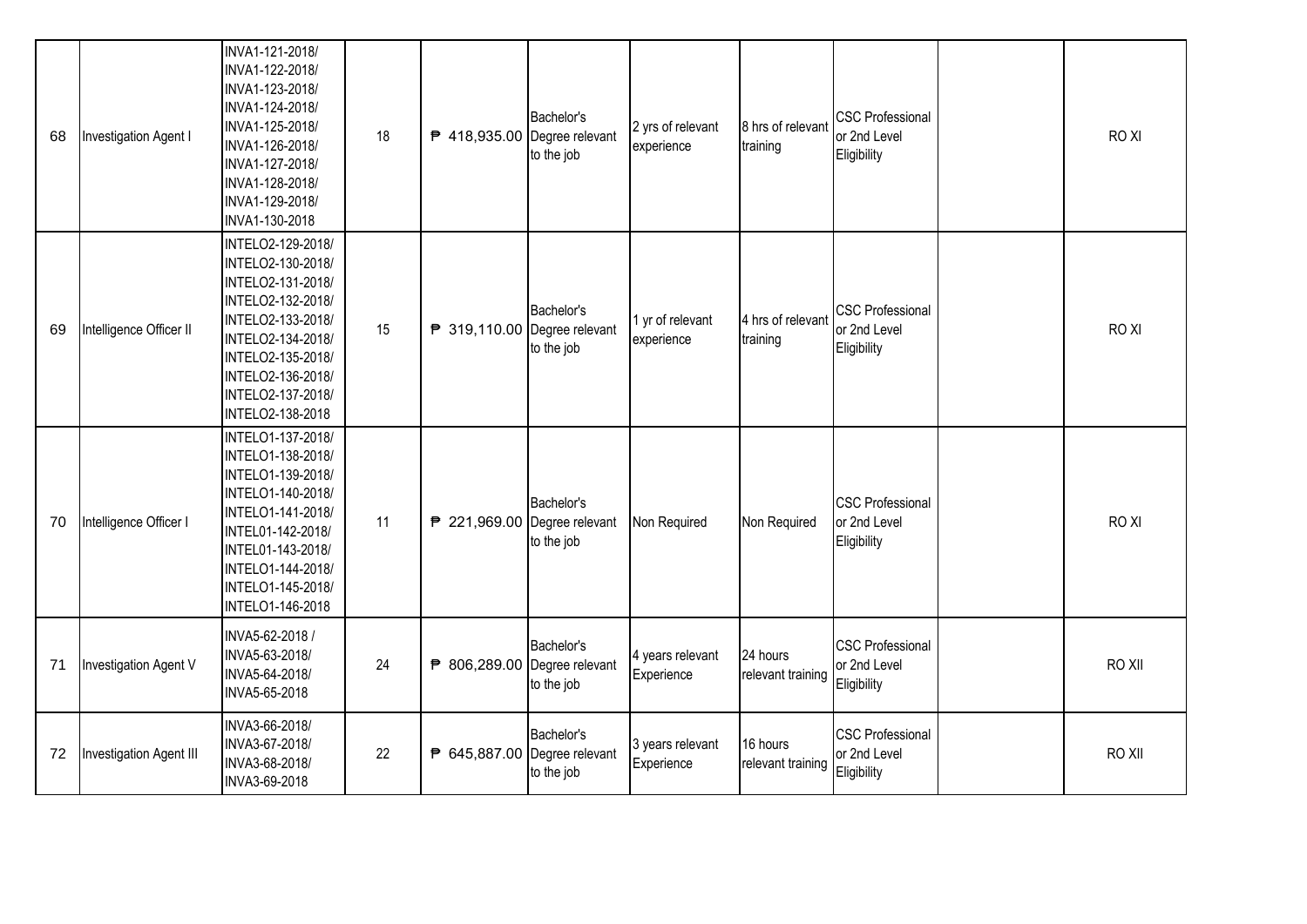| 68 | Investigation Agent I   | INVA1-121-2018/<br>INVA1-122-2018/<br>INVA1-123-2018/<br>INVA1-124-2018/<br>INVA1-125-2018/<br>INVA1-126-2018/<br>INVA1-127-2018/<br>INVA1-128-2018/<br>INVA1-129-2018/<br>INVA1-130-2018                     | 18 | ₱ 418,935.00 Degree relevant | Bachelor's<br>to the job | 2 yrs of relevant<br>experience | 8 hrs of relevant<br>training | <b>CSC Professional</b><br>or 2nd Level<br>Eligibility | RO XI  |
|----|-------------------------|---------------------------------------------------------------------------------------------------------------------------------------------------------------------------------------------------------------|----|------------------------------|--------------------------|---------------------------------|-------------------------------|--------------------------------------------------------|--------|
| 69 | Intelligence Officer II | INTELO2-129-2018/<br>INTELO2-130-2018/<br>INTELO2-131-2018/<br>INTELO2-132-2018/<br>INTELO2-133-2018/<br>INTELO2-134-2018/<br>INTELO2-135-2018/<br>INTELO2-136-2018/<br>INTELO2-137-2018/<br>INTELO2-138-2018 | 15 | ₱ 319,110.00 Degree relevant | Bachelor's<br>to the job | 1 yr of relevant<br>experience  | 4 hrs of relevant<br>training | <b>CSC Professional</b><br>or 2nd Level<br>Eligibility | RO XI  |
| 70 | Intelligence Officer I  | INTELO1-137-2018/<br>INTELO1-138-2018/<br>INTELO1-139-2018/<br>INTELO1-140-2018/<br>INTELO1-141-2018/<br>INTEL01-142-2018/<br>INTEL01-143-2018/<br>INTELO1-144-2018/<br>INTELO1-145-2018/<br>INTELO1-146-2018 | 11 | ₱ 221,969.00 Degree relevant | Bachelor's<br>to the job | Non Required                    | Non Required                  | <b>CSC Professional</b><br>or 2nd Level<br>Eligibility | RO XI  |
| 71 | Investigation Agent V   | INVA5-62-2018 /<br>INVA5-63-2018/<br>INVA5-64-2018/<br>INVA5-65-2018                                                                                                                                          | 24 | ₱ 806,289.00 Degree relevant | Bachelor's<br>to the job | 4 years relevant<br>Experience  | 24 hours<br>relevant training | <b>CSC Professional</b><br>or 2nd Level<br>Eligibility | RO XII |
| 72 | Investigation Agent III | INVA3-66-2018/<br>INVA3-67-2018/<br>INVA3-68-2018/<br>INVA3-69-2018                                                                                                                                           | 22 | ₱ 645,887.00 Degree relevant | Bachelor's<br>to the job | 3 years relevant<br>Experience  | 16 hours<br>relevant training | <b>CSC Professional</b><br>or 2nd Level<br>Eligibility | RO XII |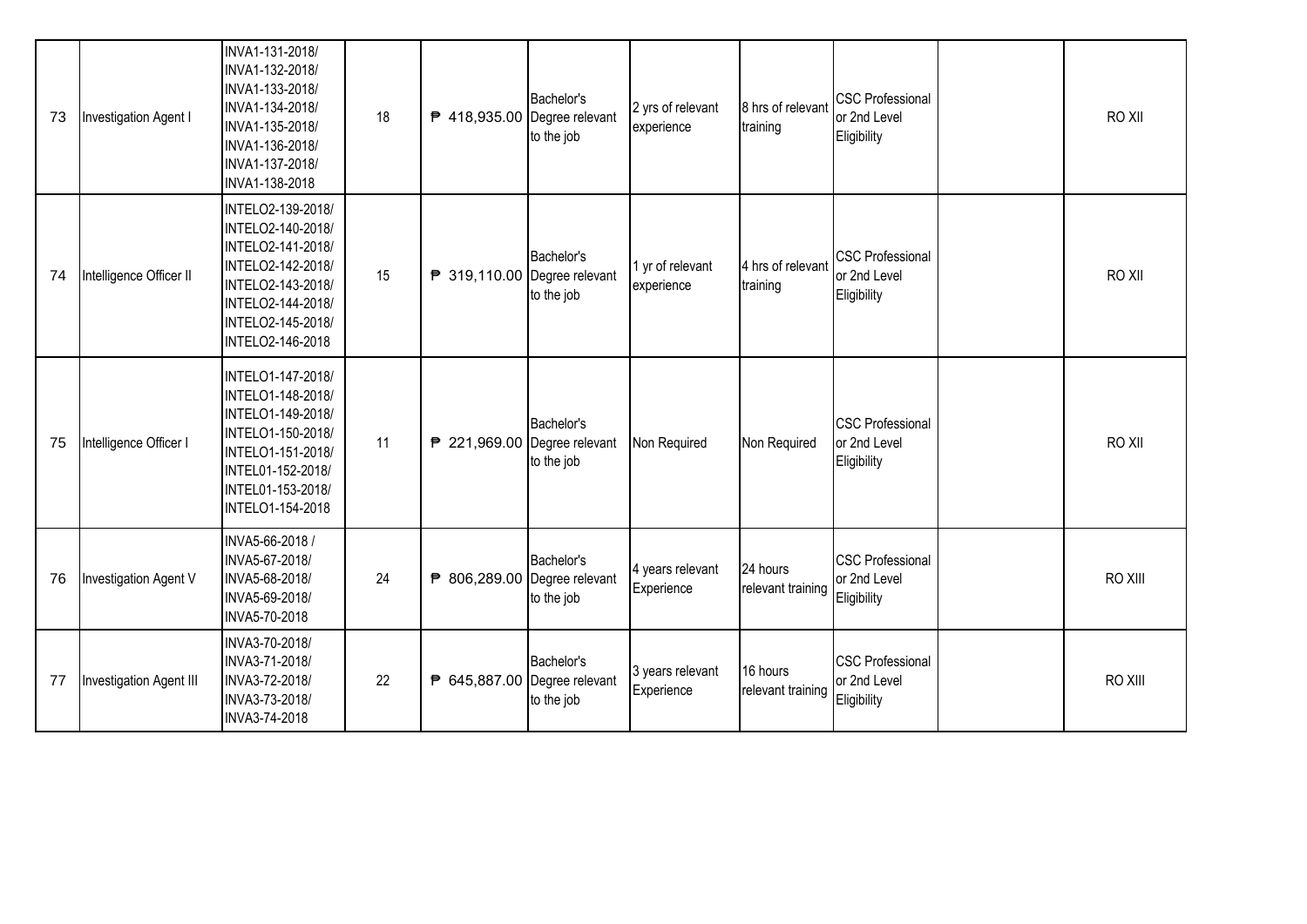| 73 | Investigation Agent I   | INVA1-131-2018/<br>INVA1-132-2018/<br>INVA1-133-2018/<br>INVA1-134-2018/<br>INVA1-135-2018/<br>INVA1-136-2018/<br>INVA1-137-2018/<br>INVA1-138-2018                 | 18 | ₱ 418,935.00 Degree relevant | Bachelor's<br>to the job | 2 yrs of relevant<br>experience | 8 hrs of relevant<br>training | <b>CSC Professional</b><br>or 2nd Level<br>Eligibility | RO XII  |
|----|-------------------------|---------------------------------------------------------------------------------------------------------------------------------------------------------------------|----|------------------------------|--------------------------|---------------------------------|-------------------------------|--------------------------------------------------------|---------|
| 74 | Intelligence Officer II | INTELO2-139-2018/<br>INTELO2-140-2018/<br>INTELO2-141-2018/<br>INTELO2-142-2018/<br>INTELO2-143-2018/<br>INTELO2-144-2018/<br>INTELO2-145-2018/<br>INTELO2-146-2018 | 15 | ₱ 319,110.00 Degree relevant | Bachelor's<br>to the job | 1 yr of relevant<br>experience  | 4 hrs of relevant<br>training | <b>CSC Professional</b><br>or 2nd Level<br>Eligibility | RO XII  |
| 75 | Intelligence Officer I  | INTELO1-147-2018/<br>INTELO1-148-2018/<br>INTELO1-149-2018/<br>INTELO1-150-2018/<br>INTELO1-151-2018/<br>INTEL01-152-2018/<br>INTEL01-153-2018/<br>INTELO1-154-2018 | 11 | ₱ 221,969.00 Degree relevant | Bachelor's<br>to the job | Non Required                    | Non Required                  | <b>CSC Professional</b><br>or 2nd Level<br>Eligibility | RO XII  |
| 76 | Investigation Agent V   | INVA5-66-2018 /<br>INVA5-67-2018/<br>INVA5-68-2018/<br>INVA5-69-2018/<br>INVA5-70-2018                                                                              | 24 | ₱ 806,289.00 Degree relevant | Bachelor's<br>to the job | 4 years relevant<br>Experience  | 24 hours<br>relevant training | <b>CSC Professional</b><br>or 2nd Level<br>Eligibility | RO XIII |
| 77 | Investigation Agent III | INVA3-70-2018/<br>INVA3-71-2018/<br>INVA3-72-2018/<br>INVA3-73-2018/<br>INVA3-74-2018                                                                               | 22 | ₱ 645,887.00 Degree relevant | Bachelor's<br>to the job | 3 years relevant<br>Experience  | 16 hours<br>relevant training | <b>CSC Professional</b><br>or 2nd Level<br>Eligibility | RO XIII |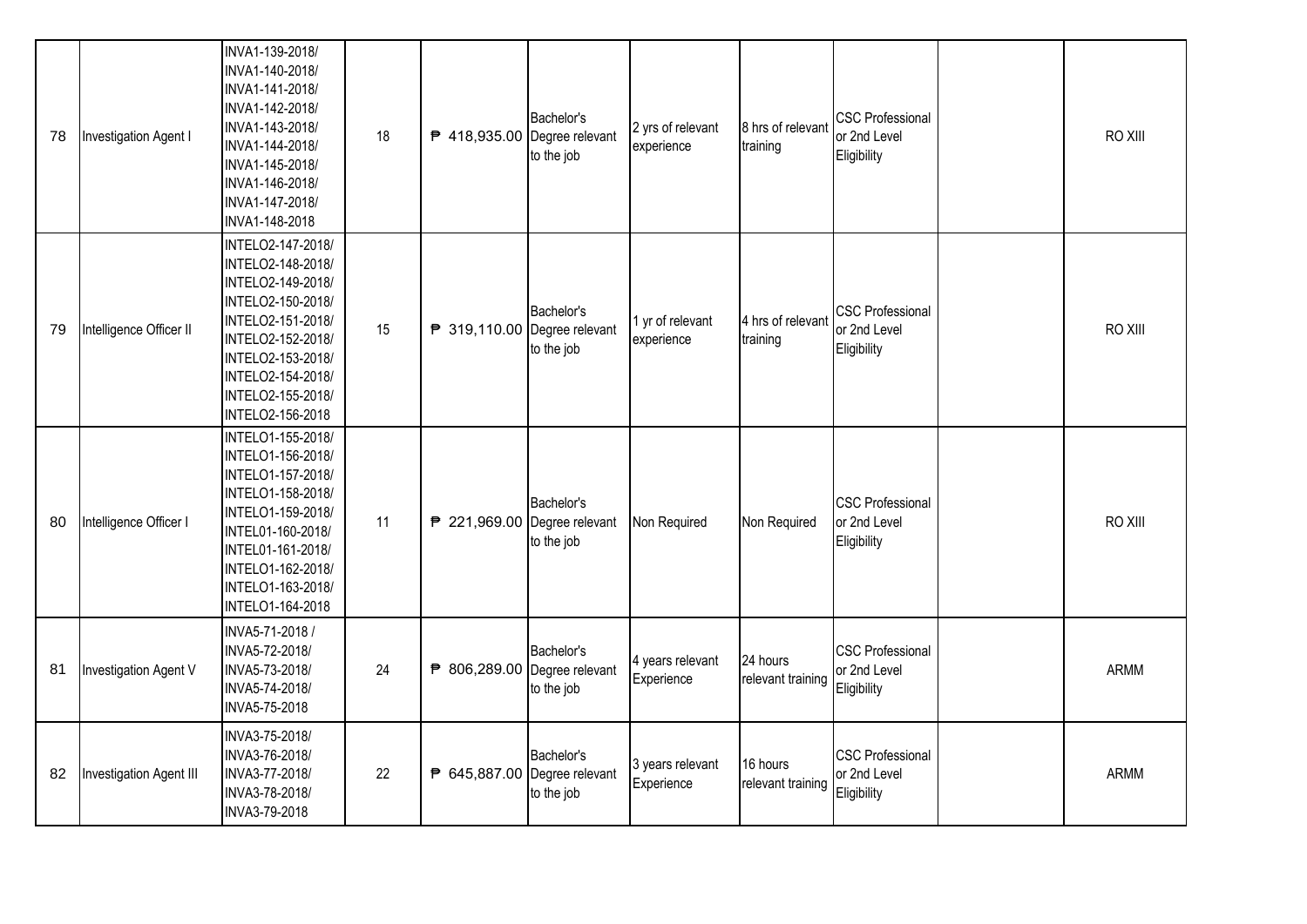| 78 | Investigation Agent I   | INVA1-139-2018/<br>INVA1-140-2018/<br>INVA1-141-2018/<br>INVA1-142-2018/<br>INVA1-143-2018/<br>INVA1-144-2018/<br>INVA1-145-2018/<br>INVA1-146-2018/<br>INVA1-147-2018/<br>INVA1-148-2018                     | 18 | ₱ 418,935.00 Degree relevant | Bachelor's<br>to the job | 2 yrs of relevant<br>experience | 8 hrs of relevant<br>training | <b>CSC Professional</b><br>or 2nd Level<br>Eligibility | RO XIII     |
|----|-------------------------|---------------------------------------------------------------------------------------------------------------------------------------------------------------------------------------------------------------|----|------------------------------|--------------------------|---------------------------------|-------------------------------|--------------------------------------------------------|-------------|
| 79 | Intelligence Officer II | INTELO2-147-2018/<br>INTELO2-148-2018/<br>INTELO2-149-2018/<br>INTELO2-150-2018/<br>INTELO2-151-2018/<br>INTELO2-152-2018/<br>INTELO2-153-2018/<br>INTELO2-154-2018/<br>INTELO2-155-2018/<br>INTELO2-156-2018 | 15 | ₱ 319,110.00 Degree relevant | Bachelor's<br>to the job | 1 yr of relevant<br>experience  | 4 hrs of relevant<br>training | <b>CSC Professional</b><br>or 2nd Level<br>Eligibility | RO XIII     |
| 80 | Intelligence Officer I  | INTELO1-155-2018/<br>INTELO1-156-2018/<br>INTELO1-157-2018/<br>INTELO1-158-2018/<br>INTELO1-159-2018/<br>INTEL01-160-2018/<br>INTEL01-161-2018/<br>INTELO1-162-2018/<br>INTELO1-163-2018/<br>INTELO1-164-2018 | 11 | ₱ 221,969.00 Degree relevant | Bachelor's<br>to the job | Non Required                    | Non Required                  | <b>CSC Professional</b><br>or 2nd Level<br>Eligibility | RO XIII     |
| 81 | Investigation Agent V   | INVA5-71-2018 /<br>INVA5-72-2018/<br>INVA5-73-2018/<br>INVA5-74-2018/<br>INVA5-75-2018                                                                                                                        | 24 | ₱ 806,289.00 Degree relevant | Bachelor's<br>to the job | 4 years relevant<br>Experience  | 24 hours<br>relevant training | <b>CSC Professional</b><br>or 2nd Level<br>Eligibility | <b>ARMM</b> |
| 82 | Investigation Agent III | INVA3-75-2018/<br>INVA3-76-2018/<br>INVA3-77-2018/<br>INVA3-78-2018/<br>INVA3-79-2018                                                                                                                         | 22 | ₱ 645,887.00 Degree relevant | Bachelor's<br>to the job | 3 years relevant<br>Experience  | 16 hours<br>relevant training | <b>CSC Professional</b><br>or 2nd Level<br>Eligibility | <b>ARMM</b> |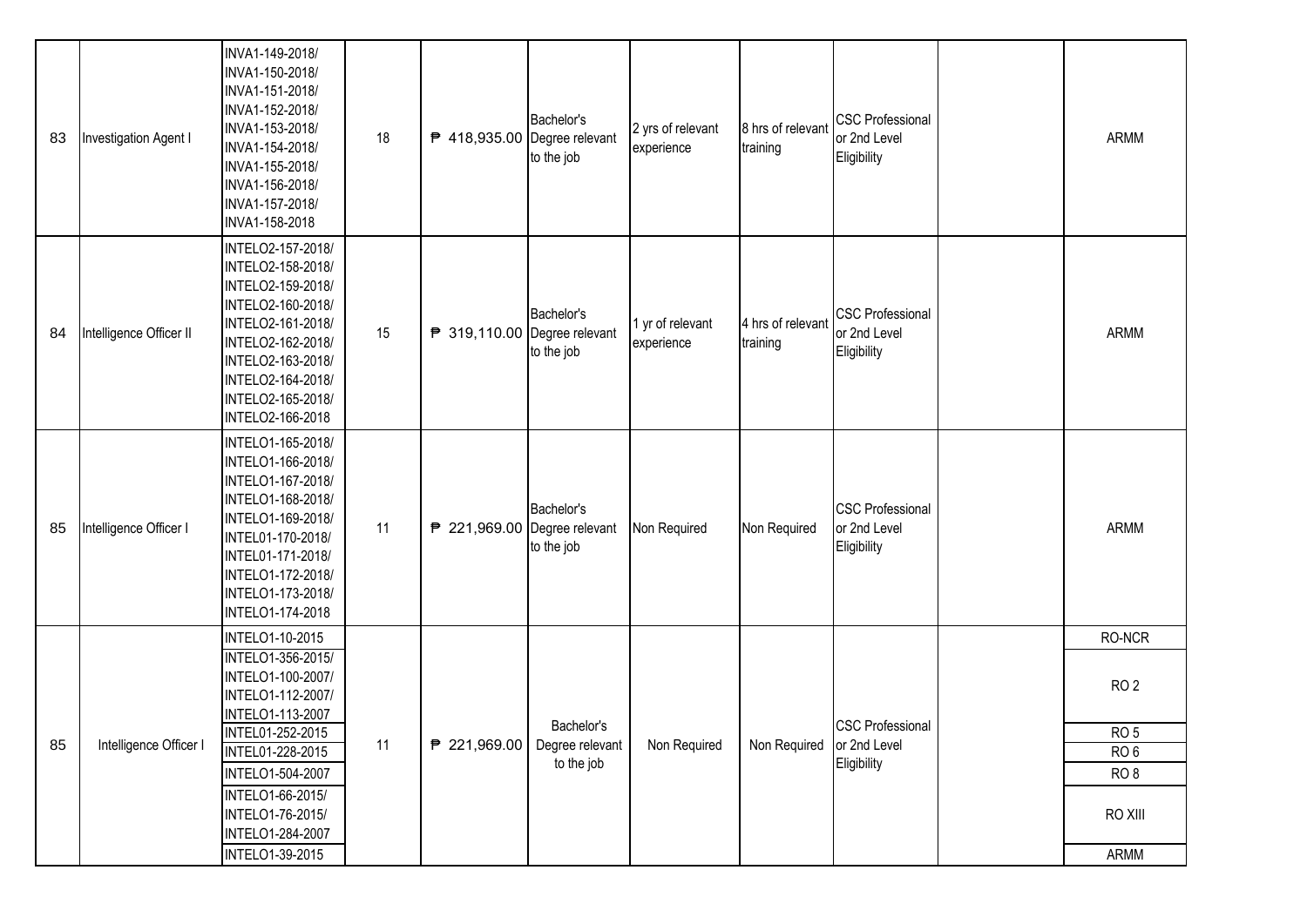| 83 | Investigation Agent I   | INVA1-149-2018/<br>INVA1-150-2018/<br>INVA1-151-2018/<br>INVA1-152-2018/<br>INVA1-153-2018/<br>INVA1-154-2018/<br>INVA1-155-2018/<br>INVA1-156-2018/<br>INVA1-157-2018/<br>INVA1-158-2018                     | 18 | ₱ 418,935.00 Degree relevant   | Bachelor's<br>to the job | 2 yrs of relevant<br>experience | 8 hrs of relevant<br>training | <b>CSC Professional</b><br>or 2nd Level<br>Eligibility | <b>ARMM</b>     |
|----|-------------------------|---------------------------------------------------------------------------------------------------------------------------------------------------------------------------------------------------------------|----|--------------------------------|--------------------------|---------------------------------|-------------------------------|--------------------------------------------------------|-----------------|
| 84 | Intelligence Officer II | INTELO2-157-2018/<br>INTELO2-158-2018/<br>INTELO2-159-2018/<br>INTELO2-160-2018/<br>INTELO2-161-2018/<br>INTELO2-162-2018/<br>INTELO2-163-2018/<br>INTELO2-164-2018/<br>INTELO2-165-2018/<br>INTELO2-166-2018 | 15 | ₱ 319,110.00 Degree relevant   | Bachelor's<br>to the job | 1 yr of relevant<br>experience  | 4 hrs of relevan<br>training  | <b>CSC Professional</b><br>or 2nd Level<br>Eligibility | <b>ARMM</b>     |
| 85 | Intelligence Officer I  | INTELO1-165-2018/<br>INTELO1-166-2018/<br>INTELO1-167-2018/<br>INTELO1-168-2018/<br>INTELO1-169-2018/<br>INTEL01-170-2018/<br>INTEL01-171-2018/<br>INTELO1-172-2018/<br>INTELO1-173-2018/<br>INTELO1-174-2018 | 11 | ₱ 221,969.00 Degree relevant   | Bachelor's<br>to the job | Non Required                    | Non Required                  | <b>CSC Professional</b><br>or 2nd Level<br>Eligibility | <b>ARMM</b>     |
|    |                         | <b>INTELO1-10-2015</b>                                                                                                                                                                                        |    |                                |                          |                                 |                               |                                                        | RO-NCR          |
|    |                         | INTELO1-356-2015/<br>INTELO1-100-2007/<br>INTELO1-112-2007/<br>INTELO1-113-2007                                                                                                                               |    |                                |                          |                                 |                               |                                                        | RO <sub>2</sub> |
| 85 | Intelligence Officer I  | INTEL01-252-2015                                                                                                                                                                                              | 11 | ₱ 221,969.00   Degree relevant | Bachelor's               | Non Required                    | Non Required                  | <b>CSC Professional</b><br>or 2nd Level                | RO <sub>5</sub> |
|    |                         | <b>INTEL01-228-2015</b>                                                                                                                                                                                       |    |                                | to the job               |                                 |                               | Eligibility                                            | RO <sub>6</sub> |
|    |                         | INTELO1-504-2007                                                                                                                                                                                              |    |                                |                          |                                 |                               |                                                        | RO <sub>8</sub> |
|    |                         | INTELO1-66-2015/<br>INTELO1-76-2015/                                                                                                                                                                          |    |                                |                          |                                 |                               |                                                        | RO XIII         |
|    |                         | INTELO1-284-2007                                                                                                                                                                                              |    |                                |                          |                                 |                               |                                                        |                 |
|    |                         | <b>INTELO1-39-2015</b>                                                                                                                                                                                        |    |                                |                          |                                 |                               |                                                        | ARMM            |